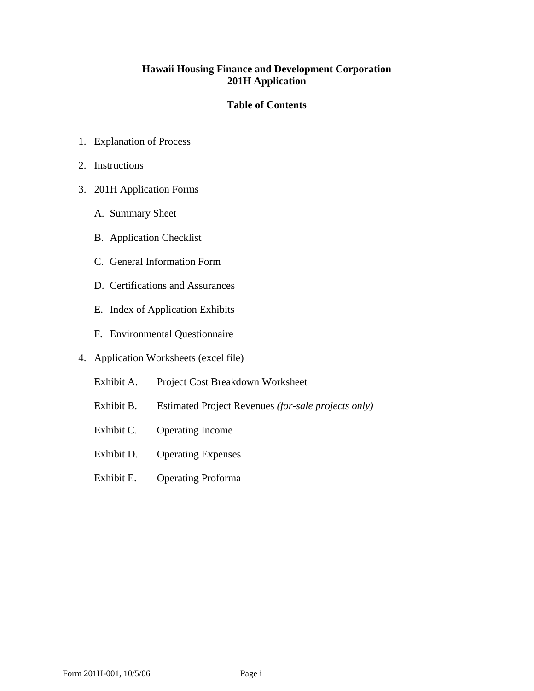### **Hawaii Housing Finance and Development Corporation 201H Application**

### **Table of Contents**

- 1. Explanation of Process
- 2. Instructions
- 3. 201H Application Forms
	- A. Summary Sheet
	- B. Application Checklist
	- C. General Information Form
	- D. Certifications and Assurances
	- E. Index of Application Exhibits
	- F. Environmental Questionnaire
- 4. Application Worksheets (excel file)
	- Exhibit A. Project Cost Breakdown Worksheet
	- Exhibit B. Estimated Project Revenues *(for-sale projects only)*
	- Exhibit C. Operating Income
	- Exhibit D. Operating Expenses
	- Exhibit E. Operating Proforma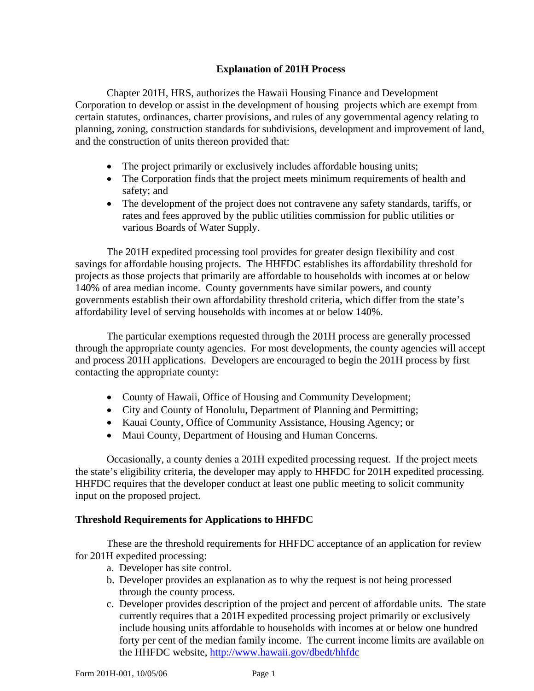### **Explanation of 201H Process**

Chapter 201H, HRS, authorizes the Hawaii Housing Finance and Development Corporation to develop or assist in the development of housing projects which are exempt from certain statutes, ordinances, charter provisions, and rules of any governmental agency relating to planning, zoning, construction standards for subdivisions, development and improvement of land, and the construction of units thereon provided that:

- The project primarily or exclusively includes affordable housing units;
- The Corporation finds that the project meets minimum requirements of health and safety; and
- The development of the project does not contravene any safety standards, tariffs, or rates and fees approved by the public utilities commission for public utilities or various Boards of Water Supply.

The 201H expedited processing tool provides for greater design flexibility and cost savings for affordable housing projects. The HHFDC establishes its affordability threshold for projects as those projects that primarily are affordable to households with incomes at or below 140% of area median income. County governments have similar powers, and county governments establish their own affordability threshold criteria, which differ from the state's affordability level of serving households with incomes at or below 140%.

The particular exemptions requested through the 201H process are generally processed through the appropriate county agencies. For most developments, the county agencies will accept and process 201H applications. Developers are encouraged to begin the 201H process by first contacting the appropriate county:

- County of Hawaii, Office of Housing and Community Development;
- City and County of Honolulu, Department of Planning and Permitting;
- Kauai County, Office of Community Assistance, Housing Agency; or
- Maui County, Department of Housing and Human Concerns.

Occasionally, a county denies a 201H expedited processing request. If the project meets the state's eligibility criteria, the developer may apply to HHFDC for 201H expedited processing. HHFDC requires that the developer conduct at least one public meeting to solicit community input on the proposed project.

### **Threshold Requirements for Applications to HHFDC**

These are the threshold requirements for HHFDC acceptance of an application for review for 201H expedited processing:

- a. Developer has site control.
- b. Developer provides an explanation as to why the request is not being processed through the county process.
- c. Developer provides description of the project and percent of affordable units. The state currently requires that a 201H expedited processing project primarily or exclusively include housing units affordable to households with incomes at or below one hundred forty per cent of the median family income. The current income limits are available on the HHFDC website, <http://www.hawaii.gov/dbedt/hhfdc>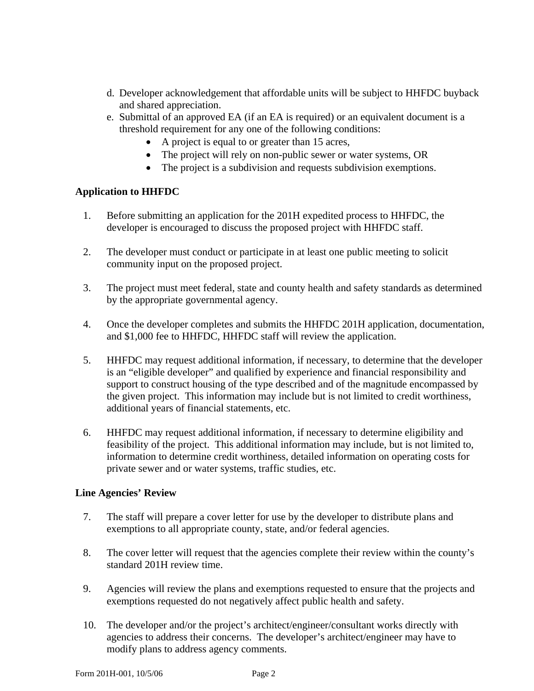- d. Developer acknowledgement that affordable units will be subject to HHFDC buyback and shared appreciation.
- e. Submittal of an approved EA (if an EA is required) or an equivalent document is a threshold requirement for any one of the following conditions:
	- A project is equal to or greater than 15 acres,
	- The project will rely on non-public sewer or water systems, OR
	- The project is a subdivision and requests subdivision exemptions.

### **Application to HHFDC**

- 1. Before submitting an application for the 201H expedited process to HHFDC, the developer is encouraged to discuss the proposed project with HHFDC staff.
- 2. The developer must conduct or participate in at least one public meeting to solicit community input on the proposed project.
- 3. The project must meet federal, state and county health and safety standards as determined by the appropriate governmental agency.
- 4. Once the developer completes and submits the HHFDC 201H application, documentation, and \$1,000 fee to HHFDC, HHFDC staff will review the application.
- 5. HHFDC may request additional information, if necessary, to determine that the developer is an "eligible developer" and qualified by experience and financial responsibility and support to construct housing of the type described and of the magnitude encompassed by the given project. This information may include but is not limited to credit worthiness, additional years of financial statements, etc.
- 6. HHFDC may request additional information, if necessary to determine eligibility and feasibility of the project. This additional information may include, but is not limited to, information to determine credit worthiness, detailed information on operating costs for private sewer and or water systems, traffic studies, etc.

### **Line Agencies' Review**

- 7. The staff will prepare a cover letter for use by the developer to distribute plans and exemptions to all appropriate county, state, and/or federal agencies.
- 8. The cover letter will request that the agencies complete their review within the county's standard 201H review time.
- 9. Agencies will review the plans and exemptions requested to ensure that the projects and exemptions requested do not negatively affect public health and safety.
- 10. The developer and/or the project's architect/engineer/consultant works directly with agencies to address their concerns. The developer's architect/engineer may have to modify plans to address agency comments.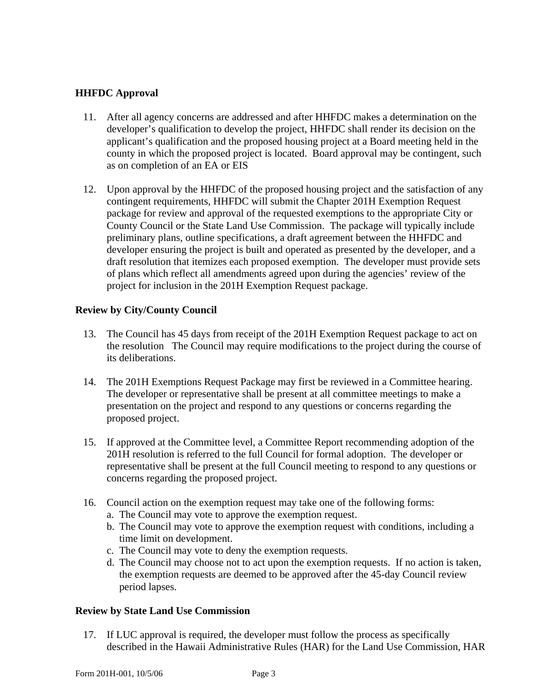### **HHFDC Approval**

- 11. After all agency concerns are addressed and after HHFDC makes a determination on the developer's qualification to develop the project, HHFDC shall render its decision on the applicant's qualification and the proposed housing project at a Board meeting held in the county in which the proposed project is located. Board approval may be contingent, such as on completion of an EA or EIS
- 12. Upon approval by the HHFDC of the proposed housing project and the satisfaction of any contingent requirements, HHFDC will submit the Chapter 201H Exemption Request package for review and approval of the requested exemptions to the appropriate City or County Council or the State Land Use Commission. The package will typically include preliminary plans, outline specifications, a draft agreement between the HHFDC and developer ensuring the project is built and operated as presented by the developer, and a draft resolution that itemizes each proposed exemption. The developer must provide sets of plans which reflect all amendments agreed upon during the agencies' review of the project for inclusion in the 201H Exemption Request package.

### **Review by City/County Council**

- 13. The Council has 45 days from receipt of the 201H Exemption Request package to act on the resolution The Council may require modifications to the project during the course of its deliberations.
- 14. The 201H Exemptions Request Package may first be reviewed in a Committee hearing. The developer or representative shall be present at all committee meetings to make a presentation on the project and respond to any questions or concerns regarding the proposed project.
- 15. If approved at the Committee level, a Committee Report recommending adoption of the 201H resolution is referred to the full Council for formal adoption. The developer or representative shall be present at the full Council meeting to respond to any questions or concerns regarding the proposed project.
- 16. Council action on the exemption request may take one of the following forms:
	- a. The Council may vote to approve the exemption request.
	- b. The Council may vote to approve the exemption request with conditions, including a time limit on development.
	- c. The Council may vote to deny the exemption requests.
	- d. The Council may choose not to act upon the exemption requests. If no action is taken, the exemption requests are deemed to be approved after the 45-day Council review period lapses.

### **Review by State Land Use Commission**

17. If LUC approval is required, the developer must follow the process as specifically described in the Hawaii Administrative Rules (HAR) for the Land Use Commission, HAR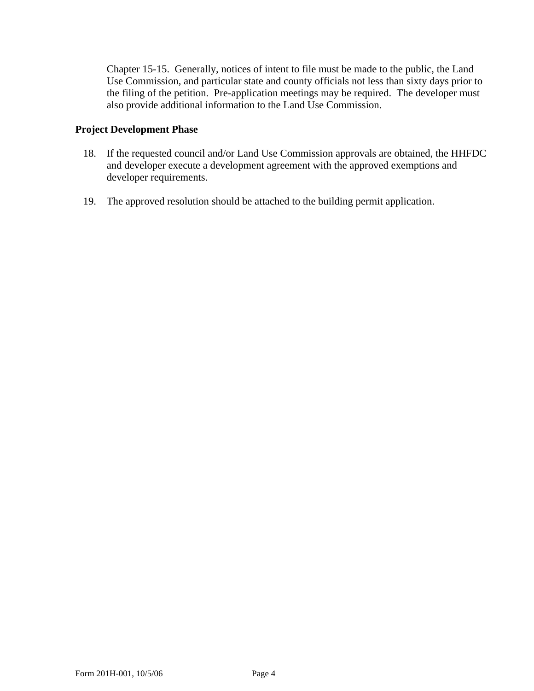Chapter 15-15. Generally, notices of intent to file must be made to the public, the Land Use Commission, and particular state and county officials not less than sixty days prior to the filing of the petition. Pre-application meetings may be required. The developer must also provide additional information to the Land Use Commission.

### **Project Development Phase**

- 18. If the requested council and/or Land Use Commission approvals are obtained, the HHFDC and developer execute a development agreement with the approved exemptions and developer requirements.
- 19. The approved resolution should be attached to the building permit application.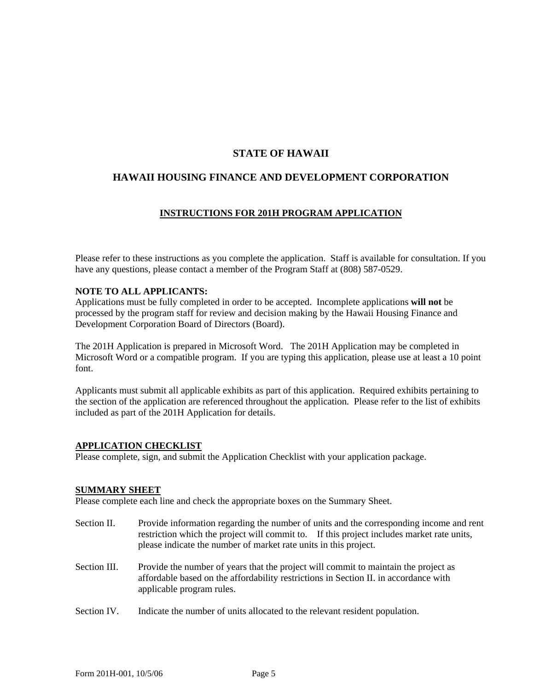### **STATE OF HAWAII**

### **HAWAII HOUSING FINANCE AND DEVELOPMENT CORPORATION**

#### **INSTRUCTIONS FOR 201H PROGRAM APPLICATION**

Please refer to these instructions as you complete the application. Staff is available for consultation. If you have any questions, please contact a member of the Program Staff at (808) 587-0529.

#### **NOTE TO ALL APPLICANTS:**

Applications must be fully completed in order to be accepted. Incomplete applications **will not** be processed by the program staff for review and decision making by the Hawaii Housing Finance and Development Corporation Board of Directors (Board).

The 201H Application is prepared in Microsoft Word. The 201H Application may be completed in Microsoft Word or a compatible program. If you are typing this application, please use at least a 10 point font.

Applicants must submit all applicable exhibits as part of this application. Required exhibits pertaining to the section of the application are referenced throughout the application. Please refer to the list of exhibits included as part of the 201H Application for details.

#### **APPLICATION CHECKLIST**

Please complete, sign, and submit the Application Checklist with your application package.

#### **SUMMARY SHEET**

Please complete each line and check the appropriate boxes on the Summary Sheet.

- Section II. Provide information regarding the number of units and the corresponding income and rent restriction which the project will commit to. If this project includes market rate units, please indicate the number of market rate units in this project.
- Section III. Provide the number of years that the project will commit to maintain the project as affordable based on the affordability restrictions in Section II. in accordance with applicable program rules.
- Section IV. Indicate the number of units allocated to the relevant resident population.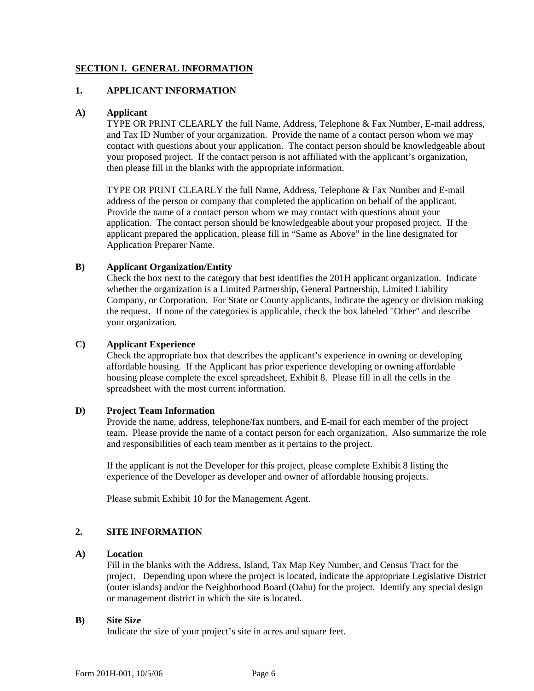#### **SECTION I. GENERAL INFORMATION**

#### **1. APPLICANT INFORMATION**

#### **A) Applicant**

TYPE OR PRINT CLEARLY the full Name, Address, Telephone & Fax Number, E-mail address, and Tax ID Number of your organization. Provide the name of a contact person whom we may contact with questions about your application. The contact person should be knowledgeable about your proposed project. If the contact person is not affiliated with the applicant's organization, then please fill in the blanks with the appropriate information.

TYPE OR PRINT CLEARLY the full Name, Address, Telephone & Fax Number and E-mail address of the person or company that completed the application on behalf of the applicant. Provide the name of a contact person whom we may contact with questions about your application. The contact person should be knowledgeable about your proposed project. If the applicant prepared the application, please fill in "Same as Above" in the line designated for Application Preparer Name.

#### **B) Applicant Organization/Entity**

Check the box next to the category that best identifies the 201H applicant organization. Indicate whether the organization is a Limited Partnership, General Partnership, Limited Liability Company, or Corporation. For State or County applicants, indicate the agency or division making the request. If none of the categories is applicable, check the box labeled "Other" and describe your organization.

#### **C) Applicant Experience**

Check the appropriate box that describes the applicant's experience in owning or developing affordable housing. If the Applicant has prior experience developing or owning affordable housing please complete the excel spreadsheet, Exhibit 8. Please fill in all the cells in the spreadsheet with the most current information.

#### **D) Project Team Information**

Provide the name, address, telephone/fax numbers, and E-mail for each member of the project team. Please provide the name of a contact person for each organization. Also summarize the role and responsibilities of each team member as it pertains to the project.

If the applicant is not the Developer for this project, please complete Exhibit 8 listing the experience of the Developer as developer and owner of affordable housing projects.

Please submit Exhibit 10 for the Management Agent.

#### **2. SITE INFORMATION**

#### **A) Location**

Fill in the blanks with the Address, Island, Tax Map Key Number, and Census Tract for the project. Depending upon where the project is located, indicate the appropriate Legislative District (outer islands) and/or the Neighborhood Board (Oahu) for the project. Identify any special design or management district in which the site is located.

#### **B) Site Size**

Indicate the size of your project's site in acres and square feet.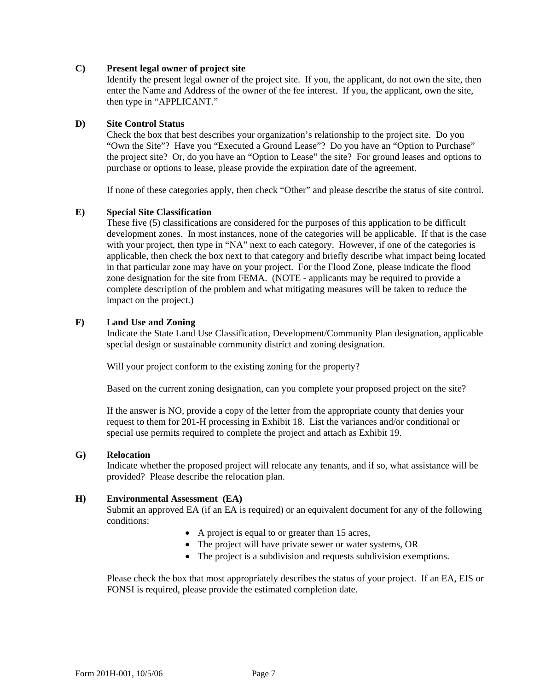#### **C) Present legal owner of project site**

Identify the present legal owner of the project site. If you, the applicant, do not own the site, then enter the Name and Address of the owner of the fee interest. If you, the applicant, own the site, then type in "APPLICANT."

#### **D) Site Control Status**

Check the box that best describes your organization's relationship to the project site. Do you "Own the Site"? Have you "Executed a Ground Lease"? Do you have an "Option to Purchase" the project site? Or, do you have an "Option to Lease" the site? For ground leases and options to purchase or options to lease, please provide the expiration date of the agreement.

If none of these categories apply, then check "Other" and please describe the status of site control.

#### **E) Special Site Classification**

These five (5) classifications are considered for the purposes of this application to be difficult development zones. In most instances, none of the categories will be applicable. If that is the case with your project, then type in "NA" next to each category. However, if one of the categories is applicable, then check the box next to that category and briefly describe what impact being located in that particular zone may have on your project. For the Flood Zone, please indicate the flood zone designation for the site from FEMA. (NOTE - applicants may be required to provide a complete description of the problem and what mitigating measures will be taken to reduce the impact on the project.)

#### **F) Land Use and Zoning**

Indicate the State Land Use Classification, Development/Community Plan designation, applicable special design or sustainable community district and zoning designation.

Will your project conform to the existing zoning for the property?

Based on the current zoning designation, can you complete your proposed project on the site?

If the answer is NO, provide a copy of the letter from the appropriate county that denies your request to them for 201-H processing in Exhibit 18. List the variances and/or conditional or special use permits required to complete the project and attach as Exhibit 19.

#### **G) Relocation**

Indicate whether the proposed project will relocate any tenants, and if so, what assistance will be provided? Please describe the relocation plan.

#### **H) Environmental Assessment (EA)**

Submit an approved EA (if an EA is required) or an equivalent document for any of the following conditions:

- A project is equal to or greater than 15 acres,
- The project will have private sewer or water systems, OR
- The project is a subdivision and requests subdivision exemptions.

Please check the box that most appropriately describes the status of your project. If an EA, EIS or FONSI is required, please provide the estimated completion date.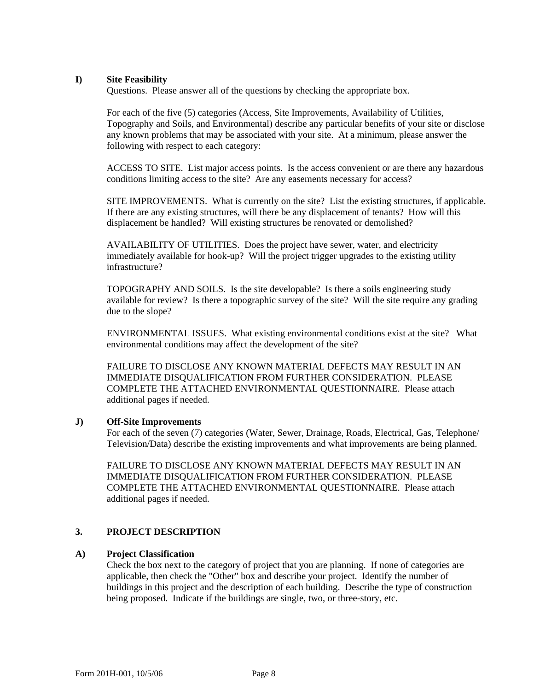#### **I) Site Feasibility**

Questions.Please answer all of the questions by checking the appropriate box.

For each of the five (5) categories (Access, Site Improvements, Availability of Utilities, Topography and Soils, and Environmental) describe any particular benefits of your site or disclose any known problems that may be associated with your site. At a minimum, please answer the following with respect to each category:

ACCESS TO SITE. List major access points. Is the access convenient or are there any hazardous conditions limiting access to the site? Are any easements necessary for access?

SITE IMPROVEMENTS. What is currently on the site? List the existing structures, if applicable. If there are any existing structures, will there be any displacement of tenants? How will this displacement be handled? Will existing structures be renovated or demolished?

AVAILABILITY OF UTILITIES. Does the project have sewer, water, and electricity immediately available for hook-up? Will the project trigger upgrades to the existing utility infrastructure?

TOPOGRAPHY AND SOILS. Is the site developable? Is there a soils engineering study available for review? Is there a topographic survey of the site? Will the site require any grading due to the slope?

ENVIRONMENTAL ISSUES. What existing environmental conditions exist at the site? What environmental conditions may affect the development of the site?

FAILURE TO DISCLOSE ANY KNOWN MATERIAL DEFECTS MAY RESULT IN AN IMMEDIATE DISQUALIFICATION FROM FURTHER CONSIDERATION. PLEASE COMPLETE THE ATTACHED ENVIRONMENTAL QUESTIONNAIRE. Please attach additional pages if needed.

#### **J) Off-Site Improvements**

For each of the seven (7) categories (Water, Sewer, Drainage, Roads, Electrical, Gas, Telephone/ Television/Data) describe the existing improvements and what improvements are being planned.

FAILURE TO DISCLOSE ANY KNOWN MATERIAL DEFECTS MAY RESULT IN AN IMMEDIATE DISQUALIFICATION FROM FURTHER CONSIDERATION. PLEASE COMPLETE THE ATTACHED ENVIRONMENTAL QUESTIONNAIRE. Please attach additional pages if needed.

#### **3. PROJECT DESCRIPTION**

#### **A) Project Classification**

Check the box next to the category of project that you are planning. If none of categories are applicable, then check the "Other" box and describe your project. Identify the number of buildings in this project and the description of each building. Describe the type of construction being proposed. Indicate if the buildings are single, two, or three-story, etc.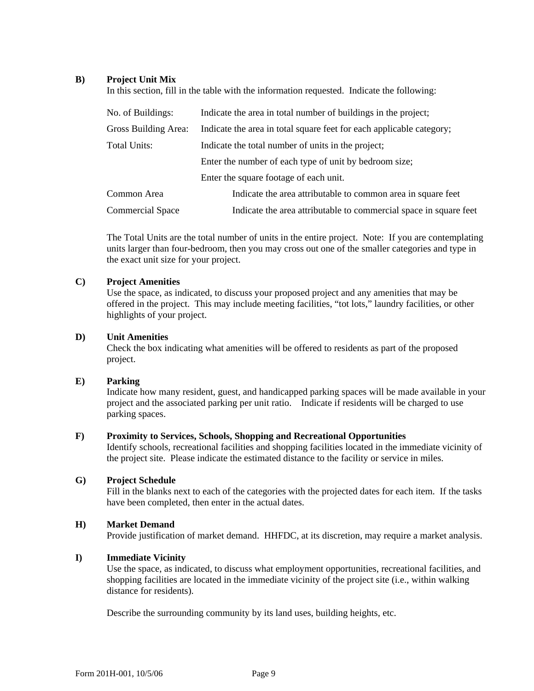#### **B) Project Unit Mix**

In this section, fill in the table with the information requested. Indicate the following:

| No. of Buildings:       | Indicate the area in total number of buildings in the project;       |  |
|-------------------------|----------------------------------------------------------------------|--|
| Gross Building Area:    | Indicate the area in total square feet for each applicable category; |  |
| Total Units:            | Indicate the total number of units in the project;                   |  |
|                         | Enter the number of each type of unit by bedroom size;               |  |
|                         | Enter the square footage of each unit.                               |  |
| Common Area             | Indicate the area attributable to common area in square feet         |  |
| <b>Commercial Space</b> | Indicate the area attributable to commercial space in square feet    |  |

The Total Units are the total number of units in the entire project. Note: If you are contemplating units larger than four-bedroom, then you may cross out one of the smaller categories and type in the exact unit size for your project.

#### **C) Project Amenities**

Use the space, as indicated, to discuss your proposed project and any amenities that may be offered in the project. This may include meeting facilities, "tot lots," laundry facilities, or other highlights of your project.

#### **D) Unit Amenities**

Check the box indicating what amenities will be offered to residents as part of the proposed project.

#### **E) Parking**

Indicate how many resident, guest, and handicapped parking spaces will be made available in your project and the associated parking per unit ratio. Indicate if residents will be charged to use parking spaces.

#### **F) Proximity to Services, Schools, Shopping and Recreational Opportunities**

Identify schools, recreational facilities and shopping facilities located in the immediate vicinity of the project site. Please indicate the estimated distance to the facility or service in miles.

#### **G) Project Schedule**

Fill in the blanks next to each of the categories with the projected dates for each item. If the tasks have been completed, then enter in the actual dates.

#### **H) Market Demand**

Provide justification of market demand. HHFDC, at its discretion, may require a market analysis.

#### **I) Immediate Vicinity**

Use the space, as indicated, to discuss what employment opportunities, recreational facilities, and shopping facilities are located in the immediate vicinity of the project site (i.e., within walking distance for residents).

Describe the surrounding community by its land uses, building heights, etc.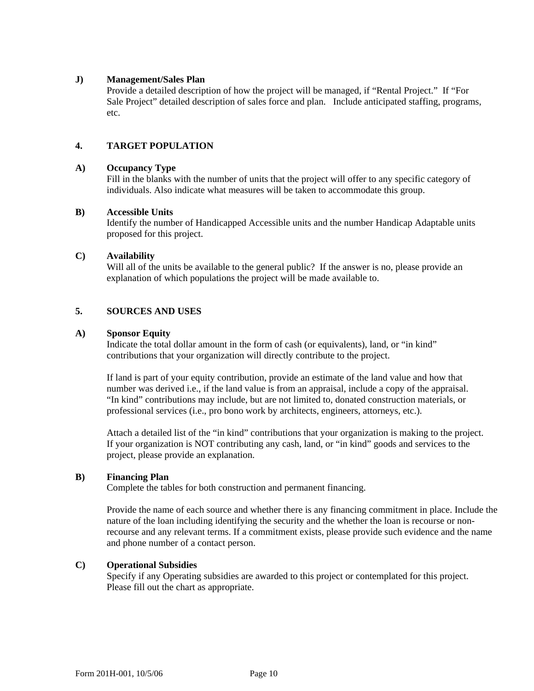#### **J) Management/Sales Plan**

Provide a detailed description of how the project will be managed, if "Rental Project." If "For Sale Project" detailed description of sales force and plan. Include anticipated staffing, programs, etc.

#### **4. TARGET POPULATION**

#### **A) Occupancy Type**

Fill in the blanks with the number of units that the project will offer to any specific category of individuals. Also indicate what measures will be taken to accommodate this group.

#### **B) Accessible Units**

Identify the number of Handicapped Accessible units and the number Handicap Adaptable units proposed for this project.

#### **C) Availability**

Will all of the units be available to the general public? If the answer is no, please provide an explanation of which populations the project will be made available to.

#### **5. SOURCES AND USES**

#### **A) Sponsor Equity**

Indicate the total dollar amount in the form of cash (or equivalents), land, or "in kind" contributions that your organization will directly contribute to the project.

If land is part of your equity contribution, provide an estimate of the land value and how that number was derived i.e., if the land value is from an appraisal, include a copy of the appraisal. "In kind" contributions may include, but are not limited to, donated construction materials, or professional services (i.e., pro bono work by architects, engineers, attorneys, etc.).

Attach a detailed list of the "in kind" contributions that your organization is making to the project. If your organization is NOT contributing any cash, land, or "in kind" goods and services to the project, please provide an explanation.

#### **B) Financing Plan**

Complete the tables for both construction and permanent financing.

Provide the name of each source and whether there is any financing commitment in place. Include the nature of the loan including identifying the security and the whether the loan is recourse or nonrecourse and any relevant terms. If a commitment exists, please provide such evidence and the name and phone number of a contact person.

#### **C) Operational Subsidies**

Specify if any Operating subsidies are awarded to this project or contemplated for this project. Please fill out the chart as appropriate.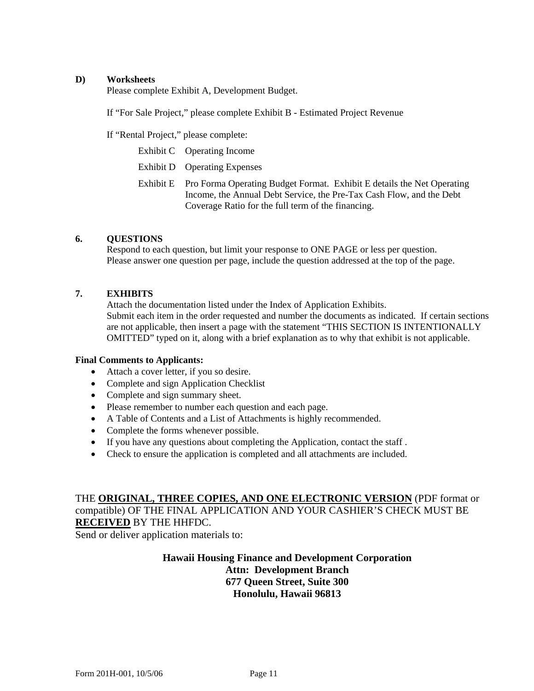#### **D) Worksheets**

Please complete Exhibit A, Development Budget.

If "For Sale Project," please complete Exhibit B - Estimated Project Revenue

If "Rental Project," please complete:

Exhibit C Operating Income

Exhibit D Operating Expenses

Exhibit E Pro Forma Operating Budget Format. Exhibit E details the Net Operating Income, the Annual Debt Service, the Pre-Tax Cash Flow, and the Debt Coverage Ratio for the full term of the financing.

#### **6. QUESTIONS**

Respond to each question, but limit your response to ONE PAGE or less per question. Please answer one question per page, include the question addressed at the top of the page.

#### **7. EXHIBITS**

Attach the documentation listed under the Index of Application Exhibits. Submit each item in the order requested and number the documents as indicated. If certain sections are not applicable, then insert a page with the statement "THIS SECTION IS INTENTIONALLY OMITTED" typed on it, along with a brief explanation as to why that exhibit is not applicable.

#### **Final Comments to Applicants:**

- Attach a cover letter, if you so desire.
- Complete and sign Application Checklist
- Complete and sign summary sheet.
- Please remember to number each question and each page.
- A Table of Contents and a List of Attachments is highly recommended.
- Complete the forms whenever possible.
- If you have any questions about completing the Application, contact the staff .
- Check to ensure the application is completed and all attachments are included.

THE **ORIGINAL, THREE COPIES, AND ONE ELECTRONIC VERSION** (PDF format or compatible) OF THE FINAL APPLICATION AND YOUR CASHIER'S CHECK MUST BE **RECEIVED** BY THE HHFDC.

Send or deliver application materials to:

### **Hawaii Housing Finance and Development Corporation Attn: Development Branch 677 Queen Street, Suite 300 Honolulu, Hawaii 96813**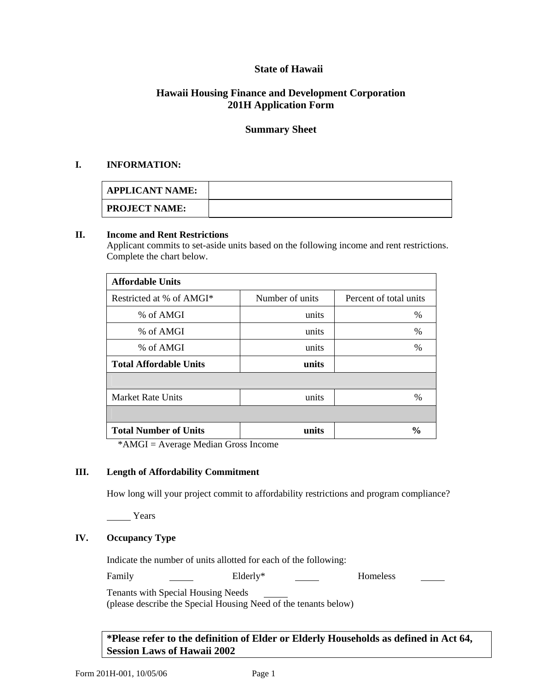### **State of Hawaii**

### **Hawaii Housing Finance and Development Corporation 201H Application Form**

### **Summary Sheet**

#### **I. INFORMATION:**

| <b>APPLICANT NAME:</b> |  |
|------------------------|--|
| <b>PROJECT NAME:</b>   |  |

#### **II. Income and Rent Restrictions**

Applicant commits to set-aside units based on the following income and rent restrictions. Complete the chart below.

| <b>Affordable Units</b>       |                 |                        |
|-------------------------------|-----------------|------------------------|
| Restricted at % of AMGI*      | Number of units | Percent of total units |
| % of AMGI                     | units           | $\%$                   |
| % of AMGI                     | units           | %                      |
| % of AMGI                     | units           | %                      |
| <b>Total Affordable Units</b> | units           |                        |
|                               |                 |                        |
| <b>Market Rate Units</b>      | units           | $\%$                   |
|                               |                 |                        |
| <b>Total Number of Units</b>  | units           | $\frac{6}{9}$          |

\*AMGI = Average Median Gross Income

#### **III. Length of Affordability Commitment**

How long will your project commit to affordability restrictions and program compliance?

Years

### **IV. Occupancy Type**

Indicate the number of units allotted for each of the following:

Family Elderly\* Homeless

Tenants with Special Housing Needs

(please describe the Special Housing Need of the tenants below)

**\*Please refer to the definition of Elder or Elderly Households as defined in Act 64, Session Laws of Hawaii 2002**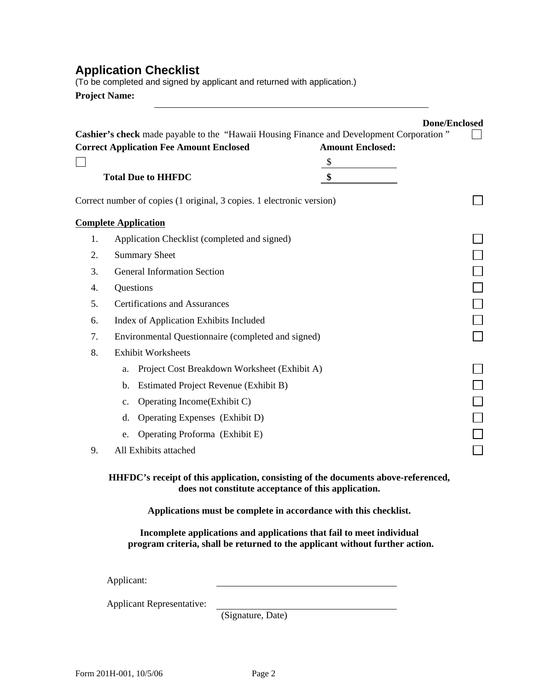## **Application Checklist**

(To be completed and signed by applicant and returned with application.) **Project Name:** 

|    | <b>Correct Application Fee Amount Enclosed</b>                        | <b>Amount Enclosed:</b> |  |
|----|-----------------------------------------------------------------------|-------------------------|--|
|    |                                                                       | $\sqrt{\frac{2}{2}}$    |  |
|    | <b>Total Due to HHFDC</b>                                             | \$                      |  |
|    | Correct number of copies (1 original, 3 copies. 1 electronic version) |                         |  |
|    | <b>Complete Application</b>                                           |                         |  |
| 1. | Application Checklist (completed and signed)                          |                         |  |
| 2. | <b>Summary Sheet</b>                                                  |                         |  |
| 3. | <b>General Information Section</b>                                    |                         |  |
| 4. | Questions                                                             |                         |  |
| 5. | <b>Certifications and Assurances</b>                                  |                         |  |
| 6. | Index of Application Exhibits Included                                |                         |  |
| 7. | Environmental Questionnaire (completed and signed)                    |                         |  |
| 8. | <b>Exhibit Worksheets</b>                                             |                         |  |
|    | Project Cost Breakdown Worksheet (Exhibit A)<br>a.                    |                         |  |
|    | Estimated Project Revenue (Exhibit B)<br>b.                           |                         |  |
|    | Operating Income(Exhibit C)<br>c.                                     |                         |  |
|    | Operating Expenses (Exhibit D)<br>d.                                  |                         |  |
|    | Operating Proforma (Exhibit E)<br>e.                                  |                         |  |
| 9. | All Exhibits attached                                                 |                         |  |

**HHFDC's receipt of this application, consisting of the documents above-referenced, does not constitute acceptance of this application.** 

**Applications must be complete in accordance with this checklist.** 

**Incomplete applications and applications that fail to meet individual program criteria, shall be returned to the applicant without further action.**

Applicant:

Applicant Representative:

(Signature, Date)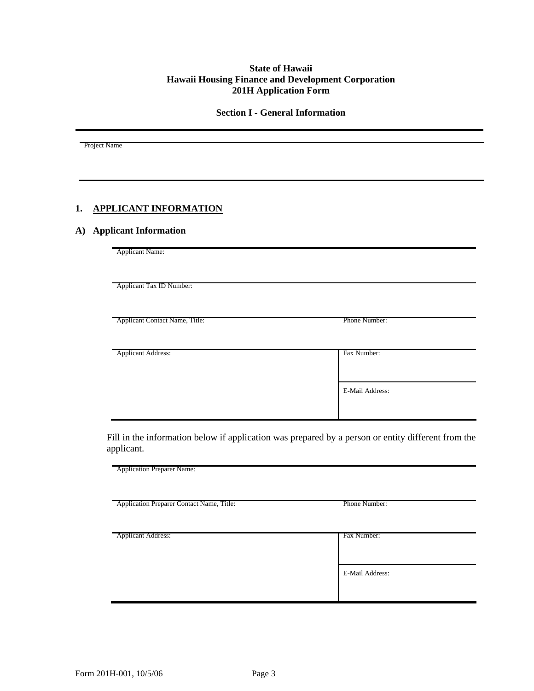#### **State of Hawaii Hawaii Housing Finance and Development Corporation 201H Application Form**

**Section I - General Information** 

Project Name

### **1. APPLICANT INFORMATION**

#### **A) Applicant Information**

Applicant Name: Applicant Tax ID Number: Applicant Contact Name, Title: Phone Number: Applicant Address: Fax Number: E-Mail Address:

Fill in the information below if application was prepared by a person or entity different from the applicant.

Application Preparer Name: Application Preparer Contact Name, Title: Phone Number: Applicant Address: Fax Number: Fax Number: E-Mail Address: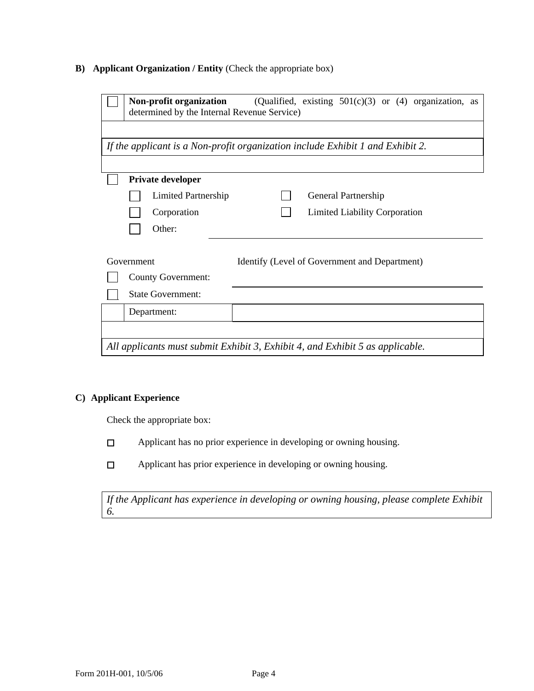### **B) Applicant Organization / Entity** (Check the appropriate box)

|                                                                               | Non-profit organization<br>determined by the Internal Revenue Service) | (Qualified, existing $501(c)(3)$ or (4) organization, as                       |  |
|-------------------------------------------------------------------------------|------------------------------------------------------------------------|--------------------------------------------------------------------------------|--|
|                                                                               |                                                                        |                                                                                |  |
|                                                                               |                                                                        | If the applicant is a Non-profit organization include Exhibit 1 and Exhibit 2. |  |
|                                                                               |                                                                        |                                                                                |  |
|                                                                               | <b>Private developer</b>                                               |                                                                                |  |
|                                                                               | Limited Partnership                                                    | General Partnership                                                            |  |
|                                                                               | Corporation                                                            | <b>Limited Liability Corporation</b>                                           |  |
|                                                                               | Other:                                                                 |                                                                                |  |
|                                                                               |                                                                        |                                                                                |  |
|                                                                               | Government                                                             | Identify (Level of Government and Department)                                  |  |
|                                                                               | <b>County Government:</b>                                              |                                                                                |  |
|                                                                               | <b>State Government:</b>                                               |                                                                                |  |
|                                                                               | Department:                                                            |                                                                                |  |
|                                                                               |                                                                        |                                                                                |  |
| All applicants must submit Exhibit 3, Exhibit 4, and Exhibit 5 as applicable. |                                                                        |                                                                                |  |

### **C) Applicant Experience**

Check the appropriate box:

- Applicant has no prior experience in developing or owning housing.  $\Box$
- $\Box$ Applicant has prior experience in developing or owning housing.

*If the Applicant has experience in developing or owning housing, please complete Exhibit 6.*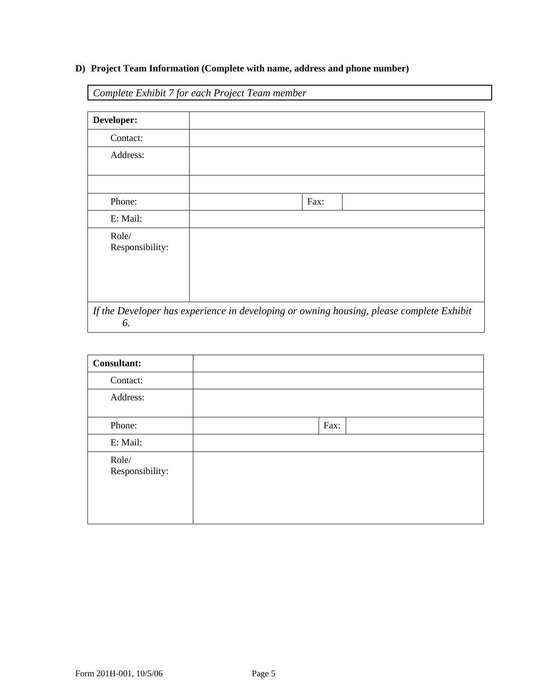### **D) Project Team Information (Complete with name, address and phone number)**

*Complete Exhibit 7 for each Project Team member* 

| Developer:               |                                                                                          |
|--------------------------|------------------------------------------------------------------------------------------|
| Contact:                 |                                                                                          |
| Address:                 |                                                                                          |
|                          |                                                                                          |
| Phone:                   | Fax:                                                                                     |
| E: Mail:                 |                                                                                          |
| Role/<br>Responsibility: |                                                                                          |
| 6.                       | If the Developer has experience in developing or owning housing, please complete Exhibit |

| <b>Consultant:</b>       |      |
|--------------------------|------|
| Contact:                 |      |
| Address:                 |      |
| Phone:                   | Fax: |
| E: Mail:                 |      |
| Role/<br>Responsibility: |      |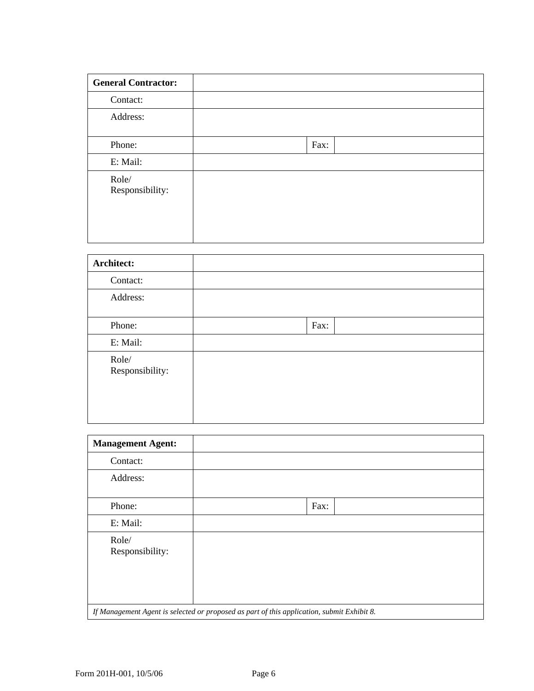| <b>General Contractor:</b> |      |
|----------------------------|------|
| Contact:                   |      |
| Address:                   |      |
| Phone:                     | Fax: |
| E: Mail:                   |      |
| Role/<br>Responsibility:   |      |

| Architect:               |      |
|--------------------------|------|
| Contact:                 |      |
| Address:                 |      |
| Phone:                   | Fax: |
| E: Mail:                 |      |
| Role/<br>Responsibility: |      |

| <b>Management Agent:</b>                                                                   |      |  |
|--------------------------------------------------------------------------------------------|------|--|
| Contact:                                                                                   |      |  |
| Address:                                                                                   |      |  |
| Phone:                                                                                     | Fax: |  |
| E: Mail:                                                                                   |      |  |
| Role/<br>Responsibility:                                                                   |      |  |
| If Management Agent is selected or proposed as part of this application, submit Exhibit 8. |      |  |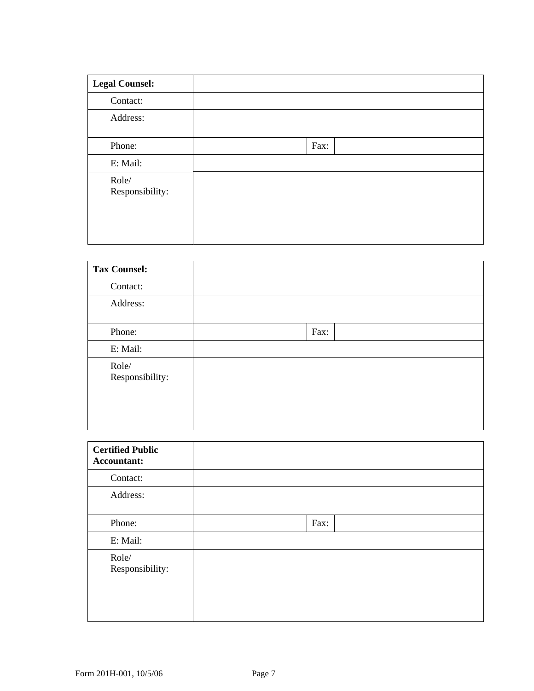| <b>Legal Counsel:</b>    |      |
|--------------------------|------|
| Contact:                 |      |
| Address:                 |      |
| Phone:                   | Fax: |
| E: Mail:                 |      |
| Role/<br>Responsibility: |      |

| <b>Tax Counsel:</b>      |      |  |
|--------------------------|------|--|
| Contact:                 |      |  |
| Address:                 |      |  |
| Phone:                   | Fax: |  |
| E: Mail:                 |      |  |
| Role/<br>Responsibility: |      |  |

| <b>Certified Public</b><br>Accountant: |      |
|----------------------------------------|------|
| Contact:                               |      |
| Address:                               |      |
| Phone:                                 | Fax: |
| E: Mail:                               |      |
| Role/<br>Responsibility:               |      |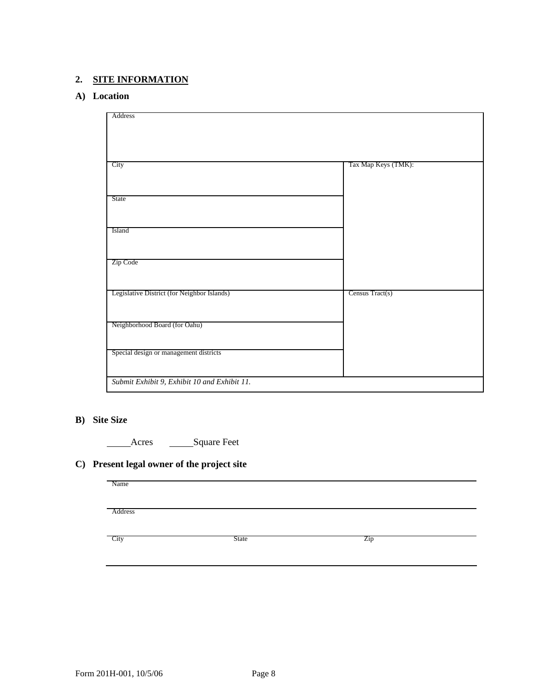### **2. SITE INFORMATION**

#### **A) Location**

| Address                                      |                     |
|----------------------------------------------|---------------------|
|                                              |                     |
|                                              |                     |
|                                              |                     |
|                                              |                     |
|                                              |                     |
|                                              |                     |
| City                                         | Tax Map Keys (TMK): |
|                                              |                     |
|                                              |                     |
|                                              |                     |
|                                              |                     |
| State                                        |                     |
|                                              |                     |
|                                              |                     |
|                                              |                     |
| Island                                       |                     |
|                                              |                     |
|                                              |                     |
|                                              |                     |
| Zip Code                                     |                     |
|                                              |                     |
|                                              |                     |
|                                              |                     |
| Legislative District (for Neighbor Islands)  | Census Tract(s)     |
|                                              |                     |
|                                              |                     |
|                                              |                     |
|                                              |                     |
| Neighborhood Board (for Oahu)                |                     |
|                                              |                     |
|                                              |                     |
| Special design or management districts       |                     |
|                                              |                     |
|                                              |                     |
|                                              |                     |
| Submit Exhibit 9, Exhibit 10 and Exhibit 11. |                     |
|                                              |                     |

### **B) Site Size**

Acres \_\_\_\_\_\_\_Square Feet

### **C) Present legal owner of the project site**

| Name    |       |     |
|---------|-------|-----|
|         |       |     |
| Address |       |     |
|         |       |     |
| City    | State | Zip |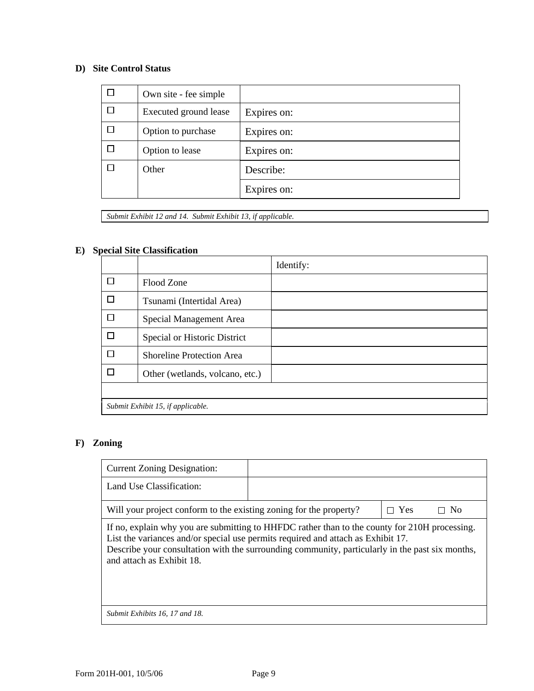### **D) Site Control Status**

| Own site - fee simple |             |
|-----------------------|-------------|
| Executed ground lease | Expires on: |
| Option to purchase    | Expires on: |
| Option to lease       | Expires on: |
| Other                 | Describe:   |
|                       | Expires on: |

*Submit Exhibit 12 and 14. Submit Exhibit 13, if applicable.* 

### **E) Special Site Classification**

|   |                                   | Identify: |
|---|-----------------------------------|-----------|
| П | Flood Zone                        |           |
| П | Tsunami (Intertidal Area)         |           |
|   | Special Management Area           |           |
| П | Special or Historic District      |           |
| П | <b>Shoreline Protection Area</b>  |           |
| П | Other (wetlands, volcano, etc.)   |           |
|   |                                   |           |
|   | Submit Exhibit 15, if applicable. |           |

### **F) Zoning**

| <b>Current Zoning Designation:</b>                                                                                                                                                                                                                                                                                |  |            |           |
|-------------------------------------------------------------------------------------------------------------------------------------------------------------------------------------------------------------------------------------------------------------------------------------------------------------------|--|------------|-----------|
| Land Use Classification:                                                                                                                                                                                                                                                                                          |  |            |           |
| Will your project conform to the existing zoning for the property?                                                                                                                                                                                                                                                |  | $\Box$ Yes | $\Box$ No |
| If no, explain why you are submitting to HHFDC rather than to the county for 210H processing.<br>List the variances and/or special use permits required and attach as Exhibit 17.<br>Describe your consultation with the surrounding community, particularly in the past six months,<br>and attach as Exhibit 18. |  |            |           |
| Submit Exhibits 16, 17 and 18.                                                                                                                                                                                                                                                                                    |  |            |           |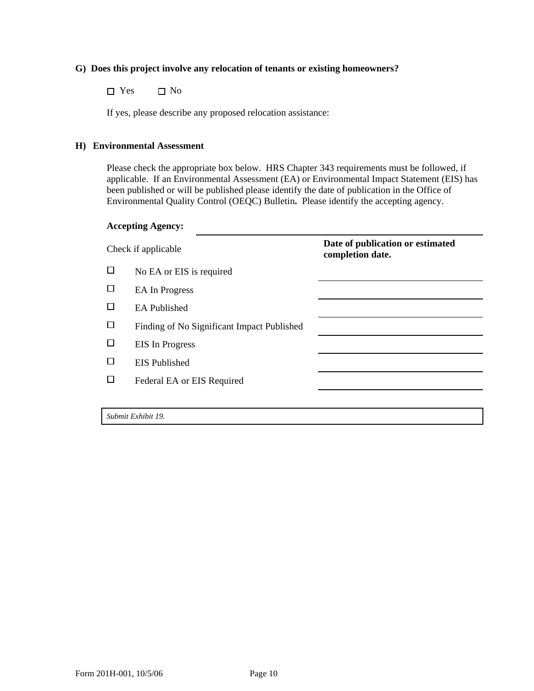#### **G) Does this project involve any relocation of tenants or existing homeowners?**

 $\Box$  Yes  $\Box$  No

If yes, please describe any proposed relocation assistance:

#### **H) Environmental Assessment**

Please check the appropriate box below. HRS Chapter 343 requirements must be followed, if applicable. If an Environmental Assessment (EA) or Environmental Impact Statement (EIS) has been published or will be published please identify the date of publication in the Office of Environmental Quality Control (OEQC) Bulletin**.** Please identify the accepting agency.

#### **Accepting Agency:**

| Check if applicable |                                            | Date of publication or estimated<br>completion date. |  |
|---------------------|--------------------------------------------|------------------------------------------------------|--|
| $\Box$              | No EA or EIS is required                   |                                                      |  |
| □                   | <b>EA</b> In Progress                      |                                                      |  |
| $\Box$              | <b>EA</b> Published                        |                                                      |  |
| П                   | Finding of No Significant Impact Published |                                                      |  |
|                     | <b>EIS</b> In Progress                     |                                                      |  |
|                     | <b>EIS</b> Published                       |                                                      |  |
| П                   | Federal EA or EIS Required                 |                                                      |  |
|                     |                                            |                                                      |  |
|                     | Submit Exhibit 19.                         |                                                      |  |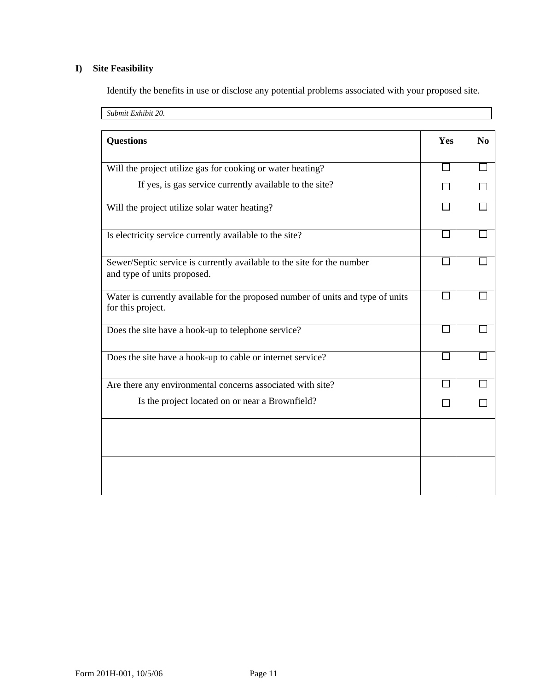### **I) Site Feasibility**

Identify the benefits in use or disclose any potential problems associated with your proposed site.

| Submit Exhibit 20.                                                                                    |     |                |
|-------------------------------------------------------------------------------------------------------|-----|----------------|
| <b>Questions</b>                                                                                      | Yes | N <sub>0</sub> |
| Will the project utilize gas for cooking or water heating?                                            |     |                |
| If yes, is gas service currently available to the site?                                               |     |                |
| Will the project utilize solar water heating?                                                         |     |                |
| Is electricity service currently available to the site?                                               |     |                |
| Sewer/Septic service is currently available to the site for the number<br>and type of units proposed. |     |                |
| Water is currently available for the proposed number of units and type of units<br>for this project.  |     |                |
| Does the site have a hook-up to telephone service?                                                    |     |                |
| Does the site have a hook-up to cable or internet service?                                            |     |                |
| Are there any environmental concerns associated with site?                                            |     |                |
| Is the project located on or near a Brownfield?                                                       |     |                |
|                                                                                                       |     |                |
|                                                                                                       |     |                |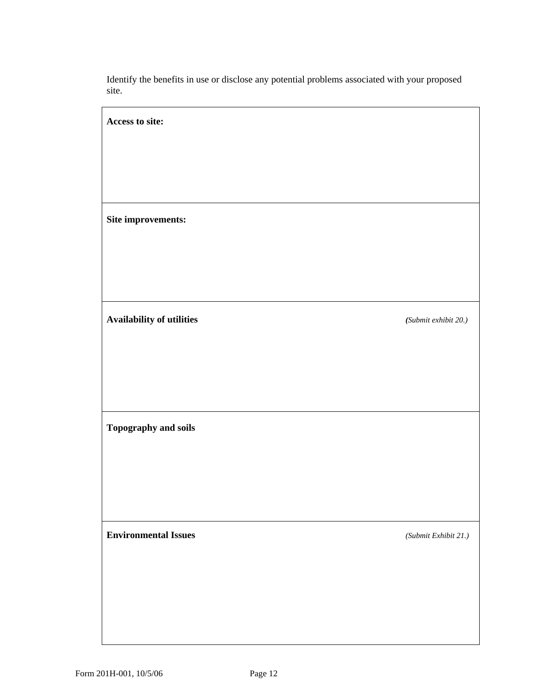Identify the benefits in use or disclose any potential problems associated with your proposed site.

| Access to site:             |                      |
|-----------------------------|----------------------|
|                             |                      |
|                             |                      |
|                             |                      |
| Site improvements:          |                      |
|                             |                      |
|                             |                      |
| Availability of utilities   | (Submit exhibit 20.) |
|                             |                      |
|                             |                      |
|                             |                      |
| Topography and soils        |                      |
|                             |                      |
|                             |                      |
|                             |                      |
| <b>Environmental Issues</b> | (Submit Exhibit 21.) |
|                             |                      |
|                             |                      |
|                             |                      |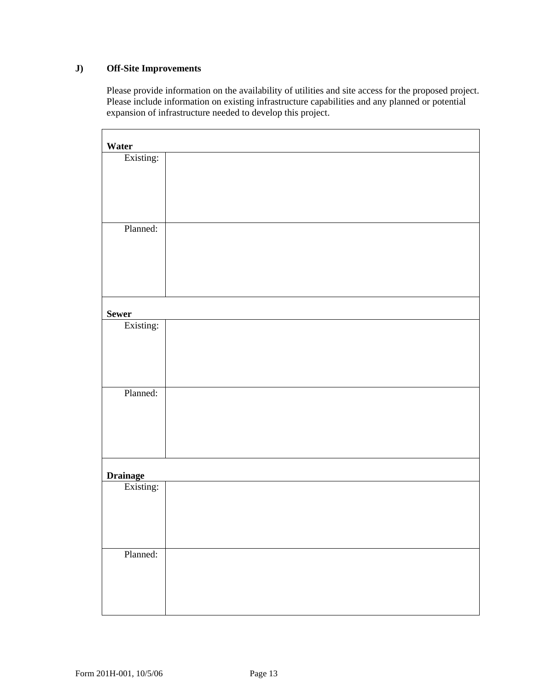### **J) Off-Site Improvements**

Please provide information on the availability of utilities and site access for the proposed project. Please include information on existing infrastructure capabilities and any planned or potential expansion of infrastructure needed to develop this project.

| Water           |  |
|-----------------|--|
| Existing:       |  |
|                 |  |
|                 |  |
|                 |  |
|                 |  |
| Planned:        |  |
|                 |  |
|                 |  |
|                 |  |
|                 |  |
| <b>Sewer</b>    |  |
| Existing:       |  |
|                 |  |
|                 |  |
|                 |  |
| Planned:        |  |
|                 |  |
|                 |  |
|                 |  |
|                 |  |
|                 |  |
| <b>Drainage</b> |  |
| Existing:       |  |
|                 |  |
|                 |  |
|                 |  |
| Planned:        |  |
|                 |  |
|                 |  |
|                 |  |
|                 |  |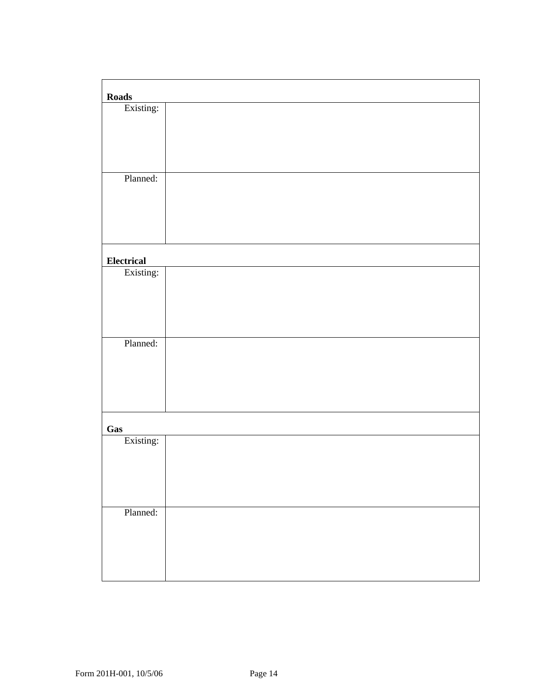| <b>Roads</b>                     |  |
|----------------------------------|--|
| Existing:                        |  |
|                                  |  |
|                                  |  |
|                                  |  |
|                                  |  |
| Planned:                         |  |
|                                  |  |
|                                  |  |
|                                  |  |
|                                  |  |
| <b>Electrical</b>                |  |
| Existing:                        |  |
|                                  |  |
|                                  |  |
|                                  |  |
|                                  |  |
| Planned:                         |  |
|                                  |  |
|                                  |  |
|                                  |  |
|                                  |  |
|                                  |  |
| $G_{\underline{a}\underline{s}}$ |  |
| Existing:                        |  |
|                                  |  |
|                                  |  |
|                                  |  |
| Planned:                         |  |
|                                  |  |
|                                  |  |
|                                  |  |
|                                  |  |
|                                  |  |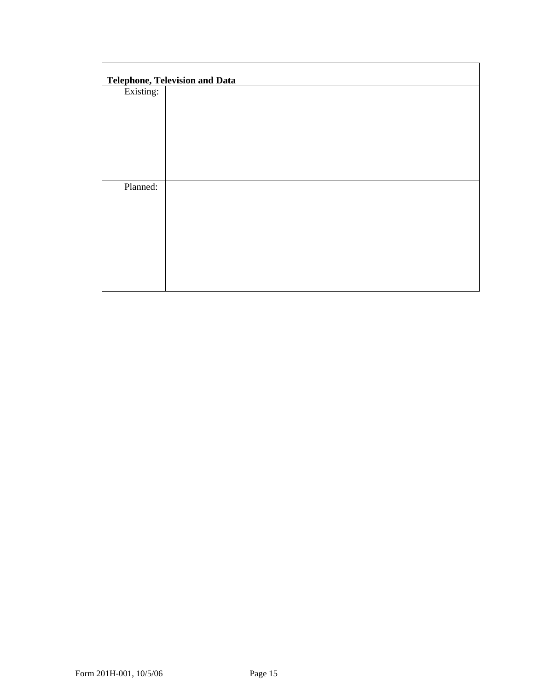|           | <b>Telephone, Television and Data</b> |
|-----------|---------------------------------------|
| Existing: |                                       |
|           |                                       |
|           |                                       |
|           |                                       |
|           |                                       |
|           |                                       |
| Planned:  |                                       |
|           |                                       |
|           |                                       |
|           |                                       |
|           |                                       |
|           |                                       |
|           |                                       |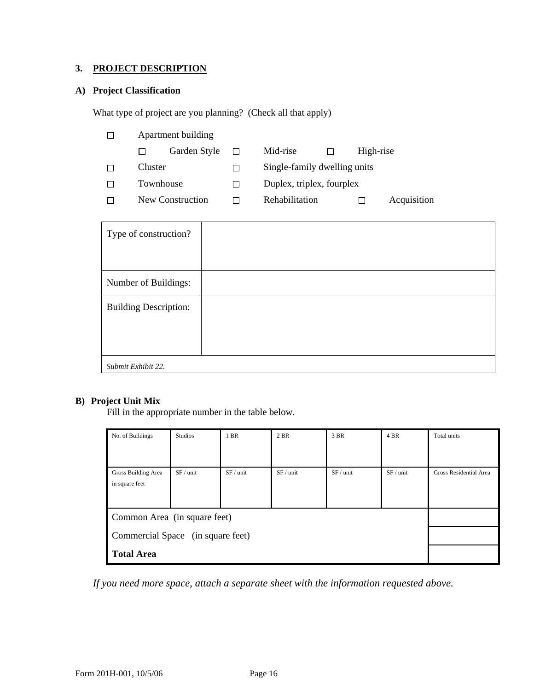### **3. PROJECT DESCRIPTION**

### **A) Project Classification**

What type of project are you planning? (Check all that apply)

|              |                  | Apartment building |              |                              |  |             |  |  |
|--------------|------------------|--------------------|--------------|------------------------------|--|-------------|--|--|
|              |                  | Garden Style       |              | Mid-rise                     |  | High-rise   |  |  |
|              | Cluster          |                    |              | Single-family dwelling units |  |             |  |  |
| $\mathbf{I}$ | Townhouse        |                    | $\mathbf{1}$ | Duplex, triplex, fourplex    |  |             |  |  |
|              | New Construction |                    | $\mathsf{L}$ | Rehabilitation               |  | Acquisition |  |  |
|              |                  |                    |              |                              |  |             |  |  |

| Type of construction?        |  |
|------------------------------|--|
| Number of Buildings:         |  |
| <b>Building Description:</b> |  |
| Submit Exhibit 22.           |  |

### **B) Project Unit Mix**

Fill in the appropriate number in the table below.

| No. of Buildings                  | Studios   | 1 BR      | 2 BR      | 3 BR      | 4 BR      | Total units            |
|-----------------------------------|-----------|-----------|-----------|-----------|-----------|------------------------|
|                                   |           |           |           |           |           |                        |
|                                   |           |           |           |           |           |                        |
| Gross Building Area               | SF / unit | SF / unit | SF / unit | SF / unit | SF / unit | Gross Residential Area |
| in square feet                    |           |           |           |           |           |                        |
|                                   |           |           |           |           |           |                        |
|                                   |           |           |           |           |           |                        |
| Common Area (in square feet)      |           |           |           |           |           |                        |
| Commercial Space (in square feet) |           |           |           |           |           |                        |
| <b>Total Area</b>                 |           |           |           |           |           |                        |

*If you need more space, attach a separate sheet with the information requested above.*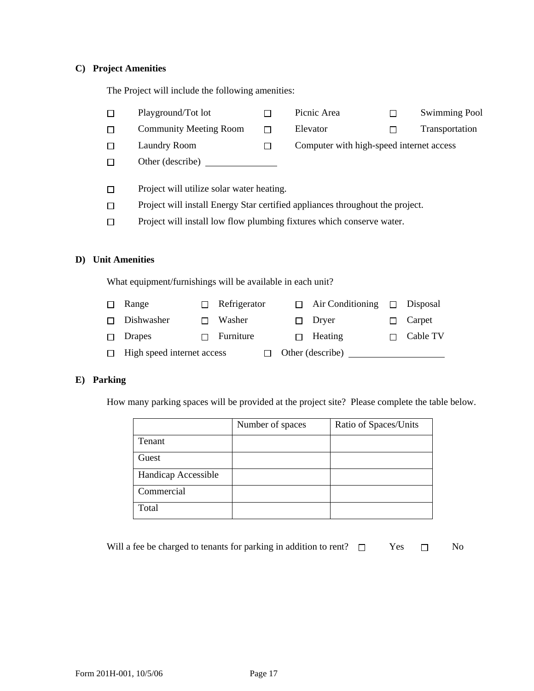### **C) Project Amenities**

The Project will include the following amenities:

|    | П                     | Playground/Tot lot                                                    |   |              | П |          | Picnic Area                                                                   |   | <b>Swimming Pool</b> |
|----|-----------------------|-----------------------------------------------------------------------|---|--------------|---|----------|-------------------------------------------------------------------------------|---|----------------------|
|    | □                     | <b>Community Meeting Room</b>                                         |   |              | П |          | Elevator                                                                      |   | Transportation       |
|    | П                     | <b>Laundry Room</b>                                                   |   |              | П |          | Computer with high-speed internet access                                      |   |                      |
|    | $\Box$                | Other (describe) $\overline{\phantom{a}}$                             |   |              |   |          |                                                                               |   |                      |
|    |                       |                                                                       |   |              |   |          |                                                                               |   |                      |
|    | □                     | Project will utilize solar water heating.                             |   |              |   |          |                                                                               |   |                      |
|    | $\Box$                |                                                                       |   |              |   |          | Project will install Energy Star certified appliances throughout the project. |   |                      |
|    | $\Box$                | Project will install low flow plumbing fixtures which conserve water. |   |              |   |          |                                                                               |   |                      |
|    |                       |                                                                       |   |              |   |          |                                                                               |   |                      |
| D) | <b>Unit Amenities</b> |                                                                       |   |              |   |          |                                                                               |   |                      |
|    |                       | What equipment/furnishings will be available in each unit?            |   |              |   |          |                                                                               |   |                      |
|    | П                     | Range                                                                 | П | Refrigerator |   | П        | Air Conditioning                                                              | П | Disposal             |
|    | П                     | Dishwasher                                                            | П | Washer       |   | П        | Dryer                                                                         |   | Carpet               |
|    | $\Box$                | Drapes                                                                |   | Furniture    |   | <b>I</b> | Heating                                                                       |   | Cable TV             |

□ High speed internet access □ Other (describe) \_\_\_\_\_\_\_\_\_\_\_\_\_\_\_\_\_\_\_\_\_\_\_\_\_\_\_\_\_\_\_\_

### **E) Parking**

How many parking spaces will be provided at the project site? Please complete the table below.

|                     | Number of spaces | Ratio of Spaces/Units |
|---------------------|------------------|-----------------------|
| Tenant              |                  |                       |
| Guest               |                  |                       |
| Handicap Accessible |                  |                       |
| Commercial          |                  |                       |
| Total               |                  |                       |

| Will a fee be charged to tenants for parking in addition to rent? $\square$ | Yes | N <sub>0</sub> |
|-----------------------------------------------------------------------------|-----|----------------|
|                                                                             |     |                |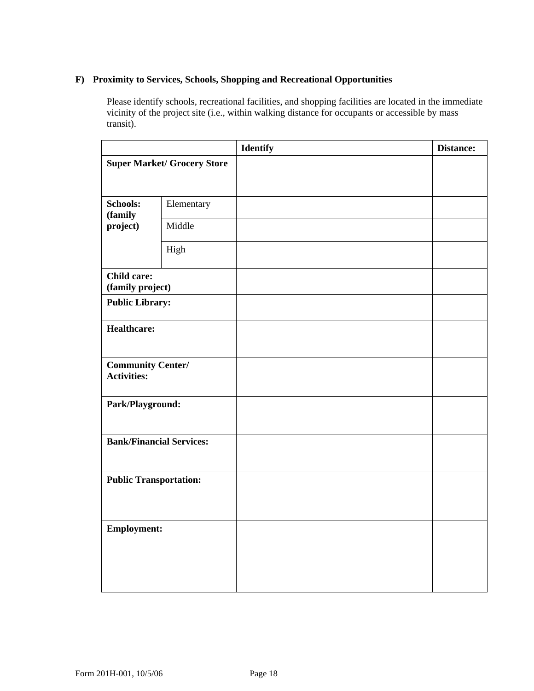### **F) Proximity to Services, Schools, Shopping and Recreational Opportunities**

Please identify schools, recreational facilities, and shopping facilities are located in the immediate vicinity of the project site (i.e., within walking distance for occupants or accessible by mass transit).

|                                                |            | <b>Identify</b> | Distance: |
|------------------------------------------------|------------|-----------------|-----------|
| <b>Super Market/ Grocery Store</b>             |            |                 |           |
| <b>Schools:</b><br>(family                     | Elementary |                 |           |
| project)                                       | Middle     |                 |           |
|                                                | High       |                 |           |
| <b>Child care:</b><br>(family project)         |            |                 |           |
| <b>Public Library:</b>                         |            |                 |           |
| <b>Healthcare:</b>                             |            |                 |           |
| <b>Community Center/</b><br><b>Activities:</b> |            |                 |           |
| Park/Playground:                               |            |                 |           |
| <b>Bank/Financial Services:</b>                |            |                 |           |
| <b>Public Transportation:</b>                  |            |                 |           |
| <b>Employment:</b>                             |            |                 |           |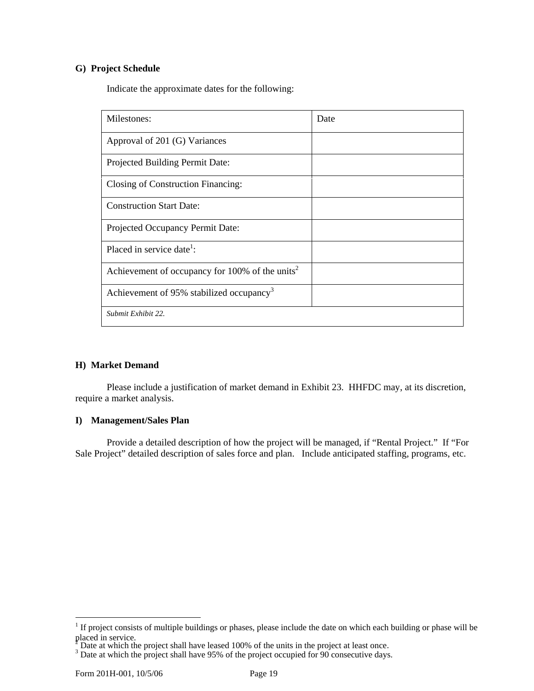#### **G) Project Schedule**

Indicate the approximate dates for the following:

| Milestones:                                                 | Date |
|-------------------------------------------------------------|------|
| Approval of 201 (G) Variances                               |      |
| Projected Building Permit Date:                             |      |
| Closing of Construction Financing:                          |      |
| <b>Construction Start Date:</b>                             |      |
| Projected Occupancy Permit Date:                            |      |
| Placed in service date <sup>1</sup> :                       |      |
| Achievement of occupancy for 100% of the units <sup>2</sup> |      |
| Achievement of 95% stabilized occupancy <sup>3</sup>        |      |
| Submit Exhibit 22.                                          |      |

### **H) Market Demand**

Please include a justification of market demand in Exhibit 23. HHFDC may, at its discretion, require a market analysis.

#### **I) Management/Sales Plan**

Provide a detailed description of how the project will be managed, if "Rental Project." If "For Sale Project" detailed description of sales force and plan. Include anticipated staffing, programs, etc.

 $\overline{a}$ 

<span id="page-30-0"></span> $1$  If project consists of multiple buildings or phases, please include the date on which each building or phase will be placed in service.<br><sup>2</sup> Deta et upich the

<span id="page-30-1"></span> $\frac{2}{3}$  Date at which the project shall have leased 100% of the units in the project at least once.

<span id="page-30-2"></span>Back at which the project shall have 95% of the project occupied for 90 consecutive days.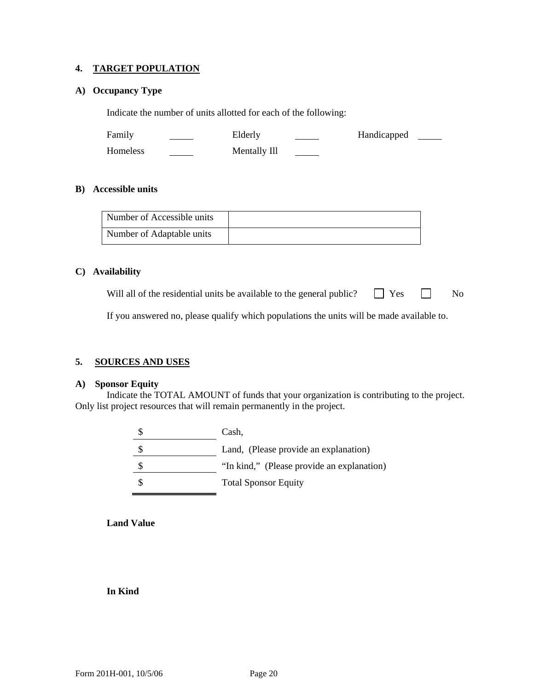#### **4. TARGET POPULATION**

#### **A) Occupancy Type**

Indicate the number of units allotted for each of the following:

Family <u>Conserversion</u> Elderly <u>Conserversion</u> Handicapped Homeless Mentally Ill

#### **B) Accessible units**

| Number of Accessible units |  |
|----------------------------|--|
| Number of Adaptable units  |  |

#### **C) Availability**

Will all of the residential units be available to the general public?  $\Box$  Yes  $\Box$  No

If you answered no, please qualify which populations the units will be made available to.

### **5. SOURCES AND USES**

#### **A) Sponsor Equity**

 Indicate the TOTAL AMOUNT of funds that your organization is contributing to the project. Only list project resources that will remain permanently in the project.

| Cash.                                      |
|--------------------------------------------|
| Land, (Please provide an explanation)      |
| "In kind," (Please provide an explanation) |
| <b>Total Sponsor Equity</b>                |

**Land Value** 

#### **In Kind**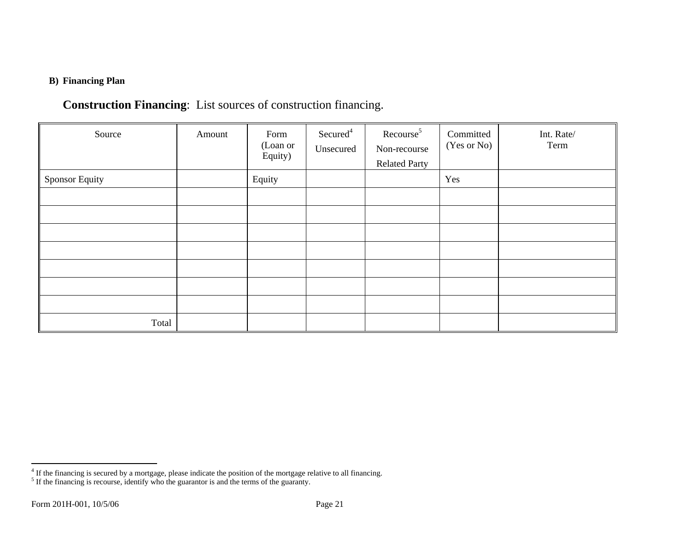### **B) Financing Plan**

# <span id="page-32-1"></span>**Construction Financing**: List sources of construction financing.

| Source                | Amount | Form<br>(Loan or<br>Equity) | Secured <sup>4</sup><br>Unsecured | Recourse <sup>5</sup><br>Non-recourse<br><b>Related Party</b> | Committed<br>(Yes or No) | Int. Rate/<br>Term |
|-----------------------|--------|-----------------------------|-----------------------------------|---------------------------------------------------------------|--------------------------|--------------------|
| <b>Sponsor Equity</b> |        | Equity                      |                                   |                                                               | Yes                      |                    |
|                       |        |                             |                                   |                                                               |                          |                    |
|                       |        |                             |                                   |                                                               |                          |                    |
|                       |        |                             |                                   |                                                               |                          |                    |
|                       |        |                             |                                   |                                                               |                          |                    |
|                       |        |                             |                                   |                                                               |                          |                    |
|                       |        |                             |                                   |                                                               |                          |                    |
| Total                 |        |                             |                                   |                                                               |                          |                    |

<span id="page-32-0"></span><sup>&</sup>lt;sup>4</sup> If the financing is secured by a mortgage, please indicate the position of the mortgage relative to all financing.

 $<sup>5</sup>$  If the financing is recourse, identify who the guarantor is and the terms of the guaranty.</sup>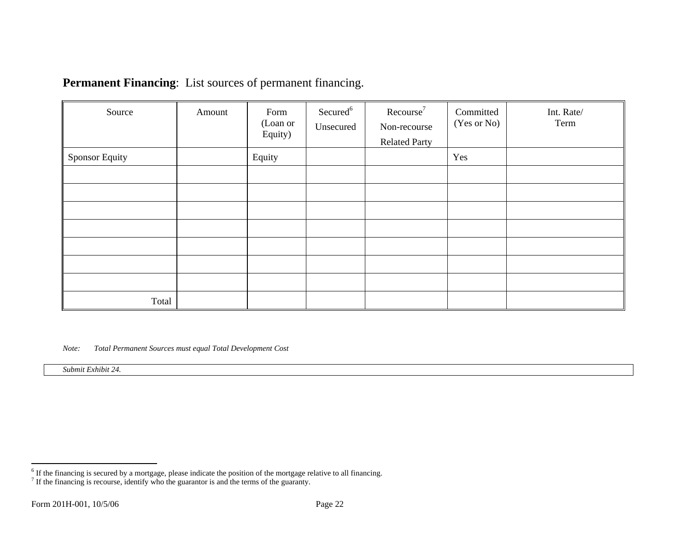| <b>Permanent Financing:</b> List sources of permanent financing. |  |  |
|------------------------------------------------------------------|--|--|
|------------------------------------------------------------------|--|--|

| Source                | Amount | Form<br>(Loan or<br>Equity) | Secured <sup>6</sup><br>Unsecured | Recourse <sup>7</sup><br>Non-recourse<br><b>Related Party</b> | Committed<br>(Yes or No) | Int. Rate/<br>Term |
|-----------------------|--------|-----------------------------|-----------------------------------|---------------------------------------------------------------|--------------------------|--------------------|
| <b>Sponsor Equity</b> |        | Equity                      |                                   |                                                               | Yes                      |                    |
|                       |        |                             |                                   |                                                               |                          |                    |
|                       |        |                             |                                   |                                                               |                          |                    |
|                       |        |                             |                                   |                                                               |                          |                    |
|                       |        |                             |                                   |                                                               |                          |                    |
|                       |        |                             |                                   |                                                               |                          |                    |
|                       |        |                             |                                   |                                                               |                          |                    |
|                       |        |                             |                                   |                                                               |                          |                    |
| Total                 |        |                             |                                   |                                                               |                          |                    |

<span id="page-33-1"></span>*Note:Total Permanent Sources must equal Total Development Cost* 

<span id="page-33-0"></span>*Submit Exhibit 24.*

 $<sup>6</sup>$  If the financing is secured by a mortgage, please indicate the position of the mortgage relative to all financing.</sup>

 $<sup>7</sup>$  If the financing is recourse, identify who the guarantor is and the terms of the guaranty.</sup>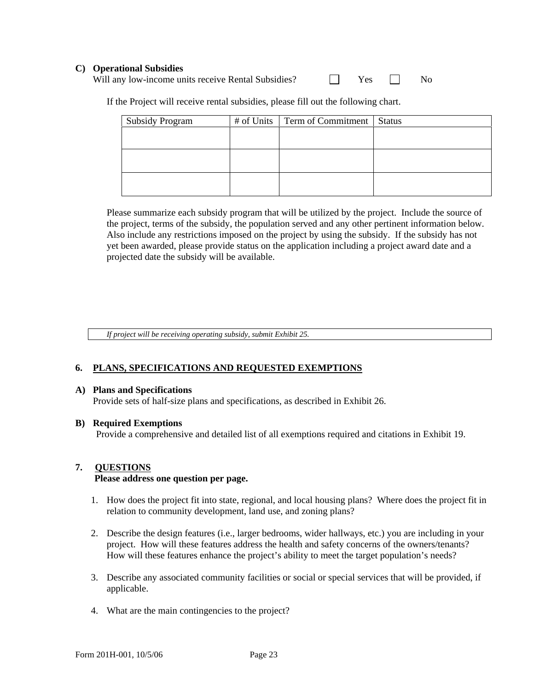#### **C) Operational Subsidies**

Will any low-income units receive Rental Subsidies?  $\Box$  Yes  $\Box$  No

If the Project will receive rental subsidies, please fill out the following chart.

| <b>Subsidy Program</b> | # of Units   Term of Commitment   Status |  |
|------------------------|------------------------------------------|--|
|                        |                                          |  |
|                        |                                          |  |
|                        |                                          |  |
|                        |                                          |  |
|                        |                                          |  |
|                        |                                          |  |

Please summarize each subsidy program that will be utilized by the project. Include the source of the project, terms of the subsidy, the population served and any other pertinent information below. Also include any restrictions imposed on the project by using the subsidy. If the subsidy has not yet been awarded, please provide status on the application including a project award date and a projected date the subsidy will be available.

*If project will be receiving operating subsidy, submit Exhibit 25.* 

#### **6. PLANS, SPECIFICATIONS AND REQUESTED EXEMPTIONS**

#### **A) Plans and Specifications**

Provide sets of half-size plans and specifications, as described in Exhibit 26.

#### **B) Required Exemptions**

Provide a comprehensive and detailed list of all exemptions required and citations in Exhibit 19.

#### **7. QUESTIONS**

#### **Please address one question per page.**

- 1. How does the project fit into state, regional, and local housing plans? Where does the project fit in relation to community development, land use, and zoning plans?
- 2. Describe the design features (i.e., larger bedrooms, wider hallways, etc.) you are including in your project. How will these features address the health and safety concerns of the owners/tenants? How will these features enhance the project's ability to meet the target population's needs?
- 3. Describe any associated community facilities or social or special services that will be provided, if applicable.
- 4. What are the main contingencies to the project?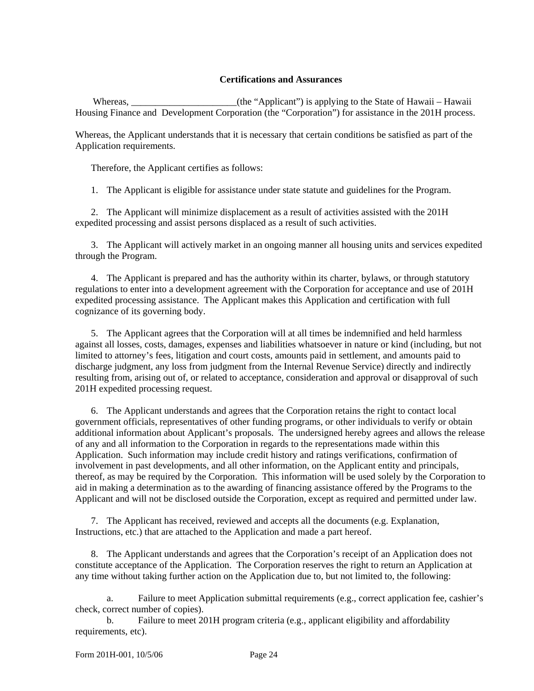#### **Certifications and Assurances**

Whereas,  $(the "Applicant")$  is applying to the State of Hawaii – Hawaii Housing Finance and Development Corporation (the "Corporation") for assistance in the 201H process.

Whereas, the Applicant understands that it is necessary that certain conditions be satisfied as part of the Application requirements.

Therefore, the Applicant certifies as follows:

1. The Applicant is eligible for assistance under state statute and guidelines for the Program.

 2. The Applicant will minimize displacement as a result of activities assisted with the 201H expedited processing and assist persons displaced as a result of such activities.

 3. The Applicant will actively market in an ongoing manner all housing units and services expedited through the Program.

 4. The Applicant is prepared and has the authority within its charter, bylaws, or through statutory regulations to enter into a development agreement with the Corporation for acceptance and use of 201H expedited processing assistance. The Applicant makes this Application and certification with full cognizance of its governing body.

 5. The Applicant agrees that the Corporation will at all times be indemnified and held harmless against all losses, costs, damages, expenses and liabilities whatsoever in nature or kind (including, but not limited to attorney's fees, litigation and court costs, amounts paid in settlement, and amounts paid to discharge judgment, any loss from judgment from the Internal Revenue Service) directly and indirectly resulting from, arising out of, or related to acceptance, consideration and approval or disapproval of such 201H expedited processing request.

 6. The Applicant understands and agrees that the Corporation retains the right to contact local government officials, representatives of other funding programs, or other individuals to verify or obtain additional information about Applicant's proposals. The undersigned hereby agrees and allows the release of any and all information to the Corporation in regards to the representations made within this Application. Such information may include credit history and ratings verifications, confirmation of involvement in past developments, and all other information, on the Applicant entity and principals, thereof, as may be required by the Corporation. This information will be used solely by the Corporation to aid in making a determination as to the awarding of financing assistance offered by the Programs to the Applicant and will not be disclosed outside the Corporation, except as required and permitted under law.

 7. The Applicant has received, reviewed and accepts all the documents (e.g. Explanation, Instructions, etc.) that are attached to the Application and made a part hereof.

 8. The Applicant understands and agrees that the Corporation's receipt of an Application does not constitute acceptance of the Application. The Corporation reserves the right to return an Application at any time without taking further action on the Application due to, but not limited to, the following:

 a. Failure to meet Application submittal requirements (e.g., correct application fee, cashier's check, correct number of copies).

 b. Failure to meet 201H program criteria (e.g., applicant eligibility and affordability requirements, etc).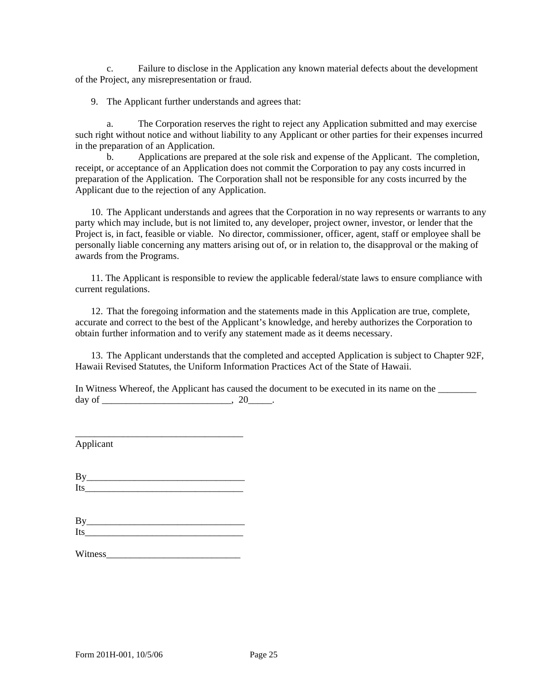c. Failure to disclose in the Application any known material defects about the development of the Project, any misrepresentation or fraud.

9. The Applicant further understands and agrees that:

 a. The Corporation reserves the right to reject any Application submitted and may exercise such right without notice and without liability to any Applicant or other parties for their expenses incurred in the preparation of an Application.

 b. Applications are prepared at the sole risk and expense of the Applicant. The completion, receipt, or acceptance of an Application does not commit the Corporation to pay any costs incurred in preparation of the Application. The Corporation shall not be responsible for any costs incurred by the Applicant due to the rejection of any Application.

 10. The Applicant understands and agrees that the Corporation in no way represents or warrants to any party which may include, but is not limited to, any developer, project owner, investor, or lender that the Project is, in fact, feasible or viable. No director, commissioner, officer, agent, staff or employee shall be personally liable concerning any matters arising out of, or in relation to, the disapproval or the making of awards from the Programs.

 11. The Applicant is responsible to review the applicable federal/state laws to ensure compliance with current regulations.

 12. That the foregoing information and the statements made in this Application are true, complete, accurate and correct to the best of the Applicant's knowledge, and hereby authorizes the Corporation to obtain further information and to verify any statement made as it deems necessary.

 13. The Applicant understands that the completed and accepted Application is subject to Chapter 92F, Hawaii Revised Statutes, the Uniform Information Practices Act of the State of Hawaii.

In Witness Whereof, the Applicant has caused the document to be executed in its name on the \_\_\_\_\_\_\_\_ day of  $\qquad \qquad .20$ 

Applicant

| . н |  |  |  |
|-----|--|--|--|

\_\_\_\_\_\_\_\_\_\_\_\_\_\_\_\_\_\_\_\_\_\_\_\_\_\_\_\_\_\_\_\_\_\_\_

| B        | ________________ |  |  |
|----------|------------------|--|--|
| т<br>-11 |                  |  |  |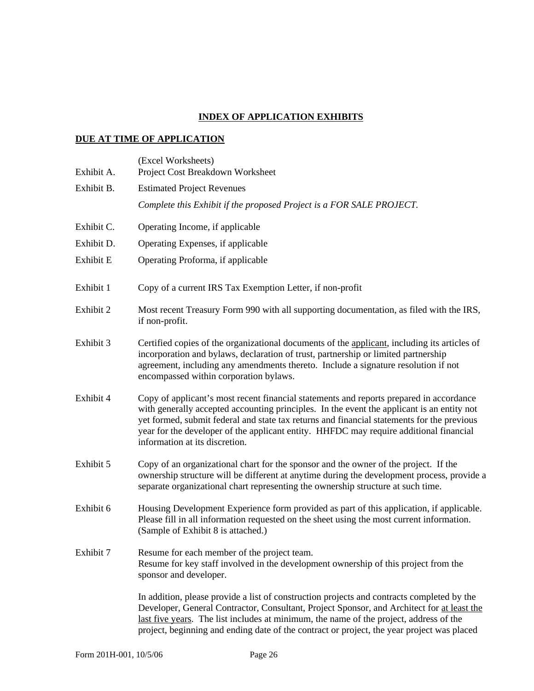### **INDEX OF APPLICATION EXHIBITS**

### **DUE AT TIME OF APPLICATION**

| Exhibit A. | (Excel Worksheets)<br>Project Cost Breakdown Worksheet                                                                                                                                                                                                                                                                                                                                                          |
|------------|-----------------------------------------------------------------------------------------------------------------------------------------------------------------------------------------------------------------------------------------------------------------------------------------------------------------------------------------------------------------------------------------------------------------|
| Exhibit B. | <b>Estimated Project Revenues</b>                                                                                                                                                                                                                                                                                                                                                                               |
|            | Complete this Exhibit if the proposed Project is a FOR SALE PROJECT.                                                                                                                                                                                                                                                                                                                                            |
| Exhibit C. | Operating Income, if applicable                                                                                                                                                                                                                                                                                                                                                                                 |
| Exhibit D. | Operating Expenses, if applicable                                                                                                                                                                                                                                                                                                                                                                               |
| Exhibit E  | Operating Proforma, if applicable                                                                                                                                                                                                                                                                                                                                                                               |
| Exhibit 1  | Copy of a current IRS Tax Exemption Letter, if non-profit                                                                                                                                                                                                                                                                                                                                                       |
| Exhibit 2  | Most recent Treasury Form 990 with all supporting documentation, as filed with the IRS,<br>if non-profit.                                                                                                                                                                                                                                                                                                       |
| Exhibit 3  | Certified copies of the organizational documents of the applicant, including its articles of<br>incorporation and bylaws, declaration of trust, partnership or limited partnership<br>agreement, including any amendments thereto. Include a signature resolution if not<br>encompassed within corporation bylaws.                                                                                              |
| Exhibit 4  | Copy of applicant's most recent financial statements and reports prepared in accordance<br>with generally accepted accounting principles. In the event the applicant is an entity not<br>yet formed, submit federal and state tax returns and financial statements for the previous<br>year for the developer of the applicant entity. HHFDC may require additional financial<br>information at its discretion. |
| Exhibit 5  | Copy of an organizational chart for the sponsor and the owner of the project. If the<br>ownership structure will be different at anytime during the development process, provide a<br>separate organizational chart representing the ownership structure at such time.                                                                                                                                          |
| Exhibit 6  | Housing Development Experience form provided as part of this application, if applicable.<br>Please fill in all information requested on the sheet using the most current information.<br>(Sample of Exhibit 8 is attached.)                                                                                                                                                                                     |
| Exhibit 7  | Resume for each member of the project team.<br>Resume for key staff involved in the development ownership of this project from the<br>sponsor and developer.                                                                                                                                                                                                                                                    |
|            | In addition, please provide a list of construction projects and contracts completed by the<br>Developer, General Contractor, Consultant, Project Sponsor, and Architect for at least the<br>last five years. The list includes at minimum, the name of the project, address of the<br>project, beginning and ending date of the contract or project, the year project was placed                                |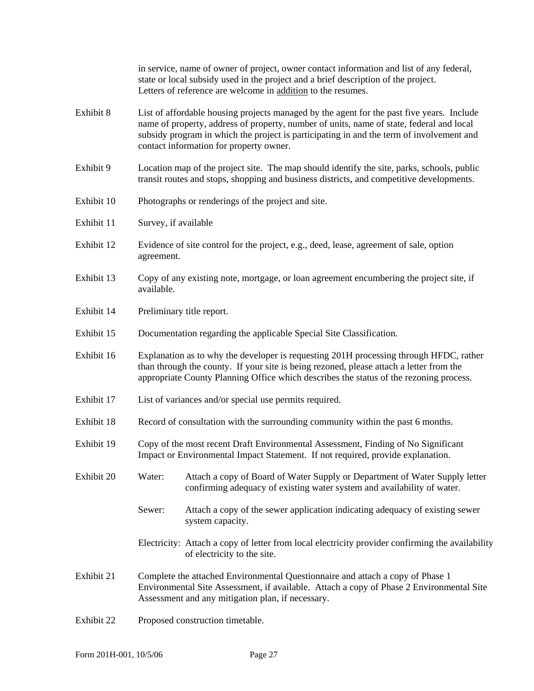in service, name of owner of project, owner contact information and list of any federal, state or local subsidy used in the project and a brief description of the project. Letters of reference are welcome in addition to the resumes.

- Exhibit 8 List of affordable housing projects managed by the agent for the past five years. Include name of property, address of property, number of units, name of state, federal and local subsidy program in which the project is participating in and the term of involvement and contact information for property owner.
- Exhibit 9 Location map of the project site. The map should identify the site, parks, schools, public transit routes and stops, shopping and business districts, and competitive developments.
- Exhibit 10 Photographs or renderings of the project and site.
- Exhibit 11 Survey, if available
- Exhibit 12 Evidence of site control for the project, e.g., deed, lease, agreement of sale, option agreement.
- Exhibit 13 Copy of any existing note, mortgage, or loan agreement encumbering the project site, if available.
- Exhibit 14 Preliminary title report.
- Exhibit 15 Documentation regarding the applicable Special Site Classification.
- Exhibit 16 Explanation as to why the developer is requesting 201H processing through HFDC, rather than through the county. If your site is being rezoned, please attach a letter from the appropriate County Planning Office which describes the status of the rezoning process.
- Exhibit 17 List of variances and/or special use permits required.
- Exhibit 18 Record of consultation with the surrounding community within the past 6 months.
- Exhibit 19 Copy of the most recent Draft Environmental Assessment, Finding of No Significant Impact or Environmental Impact Statement. If not required, provide explanation.
- Exhibit 20 Water: Attach a copy of Board of Water Supply or Department of Water Supply letter confirming adequacy of existing water system and availability of water.
	- Sewer: Attach a copy of the sewer application indicating adequacy of existing sewer system capacity.
	- Electricity: Attach a copy of letter from local electricity provider confirming the availability of electricity to the site.
- Exhibit 21 Complete the attached Environmental Questionnaire and attach a copy of Phase 1 Environmental Site Assessment, if available. Attach a copy of Phase 2 Environmental Site Assessment and any mitigation plan, if necessary.
- Exhibit 22 Proposed construction timetable.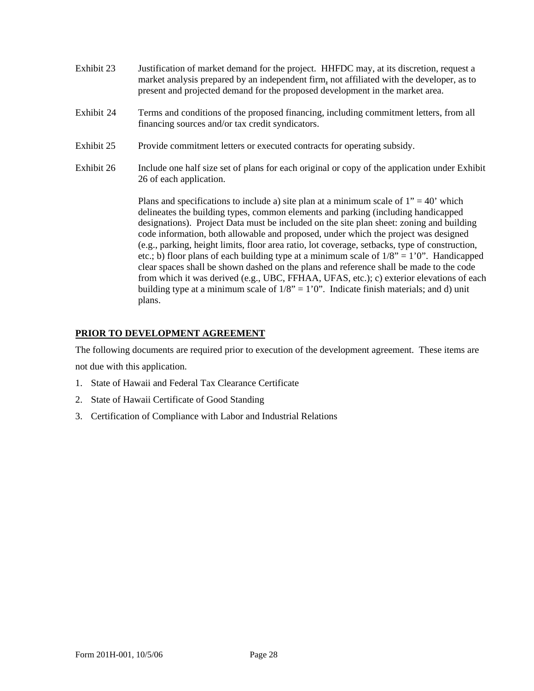- Exhibit 23 Justification of market demand for the project. HHFDC may, at its discretion, request a market analysis prepared by an independent firm, not affiliated with the developer, as to present and projected demand for the proposed development in the market area.
- Exhibit 24 Terms and conditions of the proposed financing, including commitment letters, from all financing sources and/or tax credit syndicators.
- Exhibit 25 Provide commitment letters or executed contracts for operating subsidy.
- Exhibit 26 Include one half size set of plans for each original or copy of the application under Exhibit 26 of each application.

Plans and specifications to include a) site plan at a minimum scale of  $1" = 40'$  which delineates the building types, common elements and parking (including handicapped designations). Project Data must be included on the site plan sheet: zoning and building code information, both allowable and proposed, under which the project was designed (e.g., parking, height limits, floor area ratio, lot coverage, setbacks, type of construction, etc.; b) floor plans of each building type at a minimum scale of  $1/8$ " =  $1'0$ ". Handicapped clear spaces shall be shown dashed on the plans and reference shall be made to the code from which it was derived (e.g., UBC, FFHAA, UFAS, etc.); c) exterior elevations of each building type at a minimum scale of  $1/8$ " = 1'0". Indicate finish materials; and d) unit plans.

### **PRIOR TO DEVELOPMENT AGREEMENT**

The following documents are required prior to execution of the development agreement. These items are not due with this application.

- 1. State of Hawaii and Federal Tax Clearance Certificate
- 2. State of Hawaii Certificate of Good Standing
- 3. Certification of Compliance with Labor and Industrial Relations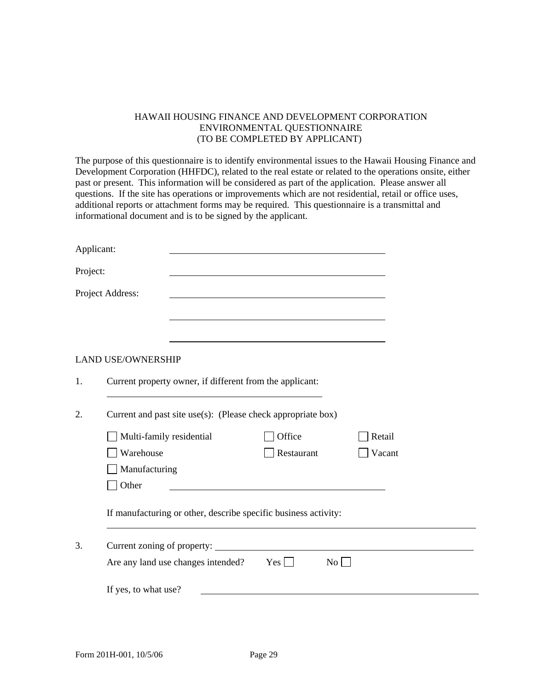#### HAWAII HOUSING FINANCE AND DEVELOPMENT CORPORATION ENVIRONMENTAL QUESTIONNAIRE (TO BE COMPLETED BY APPLICANT)

The purpose of this questionnaire is to identify environmental issues to the Hawaii Housing Finance and Development Corporation (HHFDC), related to the real estate or related to the operations onsite, either past or present. This information will be considered as part of the application. Please answer all questions. If the site has operations or improvements which are not residential, retail or office uses, additional reports or attachment forms may be required. This questionnaire is a transmittal and informational document and is to be signed by the applicant.

| Applicant: |                                                                                                          |
|------------|----------------------------------------------------------------------------------------------------------|
| Project:   |                                                                                                          |
|            | Project Address:                                                                                         |
|            |                                                                                                          |
|            |                                                                                                          |
|            | <b>LAND USE/OWNERSHIP</b>                                                                                |
| 1.         | Current property owner, if different from the applicant:                                                 |
| 2.         | Current and past site use(s): (Please check appropriate box)                                             |
|            | Multi-family residential<br>Office<br>Retail                                                             |
|            | Warehouse<br>Restaurant<br>Vacant                                                                        |
|            | Manufacturing                                                                                            |
|            | Other<br>the contract of the contract of the contract of the contract of the contract of the contract of |
|            | If manufacturing or other, describe specific business activity:                                          |
| 3.         |                                                                                                          |
|            | Are any land use changes intended? $Yes$<br>No                                                           |
|            | If yes, to what use?                                                                                     |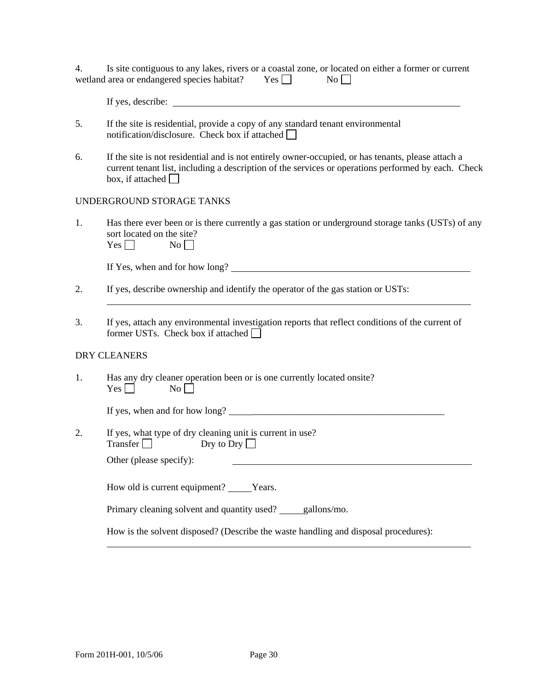| 4. | Is site contiguous to any lakes, rivers or a coastal zone, or located on either a former or current |            |                  |  |
|----|-----------------------------------------------------------------------------------------------------|------------|------------------|--|
|    | wetland area or endangered species habitat?                                                         | $Yes \Box$ | $\overline{N_0}$ |  |

| If yes, describe: |
|-------------------|
|                   |

- 5. If the site is residential, provide a copy of any standard tenant environmental notification/disclosure. Check box if attached  $\Box$
- 6. If the site is not residential and is not entirely owner-occupied, or has tenants, please attach a current tenant list, including a description of the services or operations performed by each. Check box, if attached  $\Box$

#### UNDERGROUND STORAGE TANKS

1. Has there ever been or is there currently a gas station or underground storage tanks (USTs) of any sort located on the site?  $V_{\alpha s} \Box$  No  $\Box$ 

| I CO I | 1 I V J |  |
|--------|---------|--|
|        |         |  |

If Yes, when and for how long?

- 2. If yes, describe ownership and identify the operator of the gas station or USTs:
- 3. If yes, attach any environmental investigation reports that reflect conditions of the current of former USTs. Check box if attached  $\Box$

#### DRY CLEANERS

l

|            |                | Has any dry cleaner operation been or is one currently located onsite? |
|------------|----------------|------------------------------------------------------------------------|
| $Yes \Box$ | N <sub>0</sub> |                                                                        |

If yes, when and for how long?  $\qquad \qquad \qquad$ 

2. If yes, what type of dry cleaning unit is current in use? Transfer Dry to Dry  $\Box$ 

Other (please specify):

How old is current equipment? \_\_\_\_\_Years.

Primary cleaning solvent and quantity used? gallons/mo.

How is the solvent disposed? (Describe the waste handling and disposal procedures):

l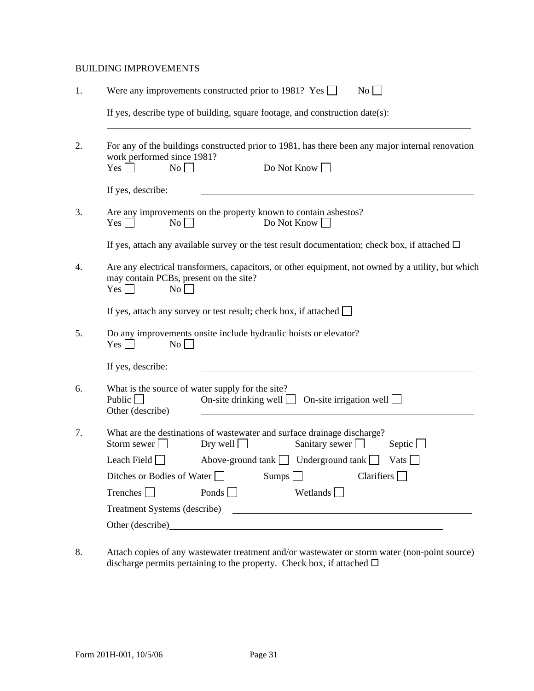#### BUILDING IMPROVEMENTS

| 1. |                                                                                         | No<br>Were any improvements constructed prior to 1981? Yes $\Box$                                                                |
|----|-----------------------------------------------------------------------------------------|----------------------------------------------------------------------------------------------------------------------------------|
|    |                                                                                         | If yes, describe type of building, square footage, and construction date(s):                                                     |
| 2. | work performed since 1981?<br>$Yes \Box$<br>$No \Box$                                   | For any of the buildings constructed prior to 1981, has there been any major internal renovation<br>Do Not Know                  |
|    | If yes, describe:                                                                       |                                                                                                                                  |
| 3. | No<br>$Yes \mid \mid$                                                                   | Are any improvements on the property known to contain asbestos?<br>Do Not Know $\Box$                                            |
|    |                                                                                         | If yes, attach any available survey or the test result documentation; check box, if attached $\Box$                              |
| 4. | may contain PCBs, present on the site?<br>$Yes \Box$<br>No                              | Are any electrical transformers, capacitors, or other equipment, not owned by a utility, but which                               |
|    |                                                                                         | If yes, attach any survey or test result; check box, if attached $\Box$                                                          |
| 5. | No<br>$Yes \Box$                                                                        | Do any improvements onsite include hydraulic hoists or elevator?                                                                 |
|    | If yes, describe:                                                                       |                                                                                                                                  |
| 6. | What is the source of water supply for the site?<br>Public $\lceil$<br>Other (describe) | On-site drinking well $\Box$<br>On-site irrigation well                                                                          |
| 7. | Storm sewer $\Box$                                                                      | What are the destinations of wastewater and surface drainage discharge?<br>Dry well<br>Sanitary sewer $\square$<br>Septic $\Box$ |
|    | Leach Field $\Box$                                                                      | Above-ground tank $\Box$ Underground tank $\Box$<br>Vats $\Box$                                                                  |
|    | Ditches or Bodies of Water $\Box$                                                       | Sumps $\Box$<br>Clarifiers $\Box$                                                                                                |
|    | Trenches                                                                                | Ponds $\Box$<br>Wetlands $\Box$                                                                                                  |
|    | Treatment Systems (describe)                                                            |                                                                                                                                  |
|    | Other (describe)                                                                        | <u> 1989 - Johann Harry Barn, mars and de Branch and de Branch and de Branch and de Branch and de Branch and de B</u>            |

8. Attach copies of any wastewater treatment and/or wastewater or storm water (non-point source) discharge permits pertaining to the property. Check box, if attached  $\square$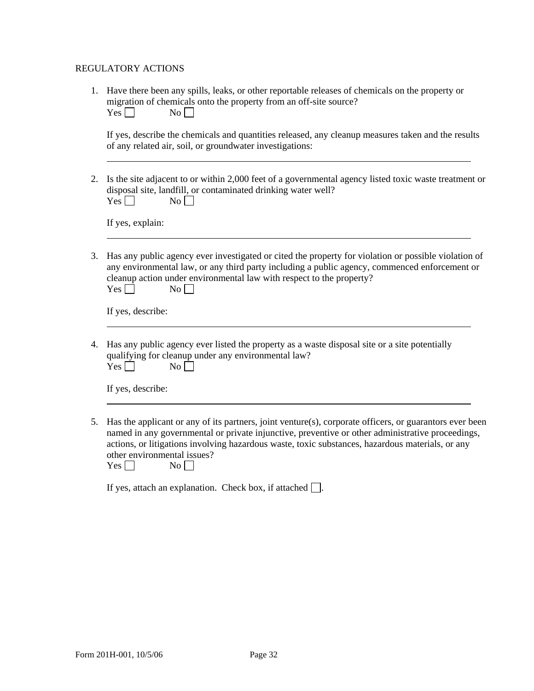#### REGULATORY ACTIONS

1. Have there been any spills, leaks, or other reportable releases of chemicals on the property or migration of chemicals onto the property from an off-site source?  $Yes \Box$  No  $\Box$ 

If yes, describe the chemicals and quantities released, any cleanup measures taken and the results of any related air, soil, or groundwater investigations:

2. Is the site adjacent to or within 2,000 feet of a governmental agency listed toxic waste treatment or disposal site, landfill, or contaminated drinking water well?  $Yes \Box$  No  $\Box$ 

If yes, explain:

3. Has any public agency ever investigated or cited the property for violation or possible violation of any environmental law, or any third party including a public agency, commenced enforcement or cleanup action under environmental law with respect to the property?  $Yes \Box$  No

If yes, describe:

4. Has any public agency ever listed the property as a waste disposal site or a site potentially qualifying for cleanup under any environmental law?  $Yes \Box$  No

If yes, describe:

5. Has the applicant or any of its partners, joint venture(s), corporate officers, or guarantors ever been named in any governmental or private injunctive, preventive or other administrative proceedings, actions, or litigations involving hazardous waste, toxic substances, hazardous materials, or any other environmental issues?

| I<br>۲.<br>∽<br>N<br>es<br>$\sim$<br>-<br>$\sim$ |
|--------------------------------------------------|
|--------------------------------------------------|

If yes, attach an explanation. Check box, if attached  $\Box$ .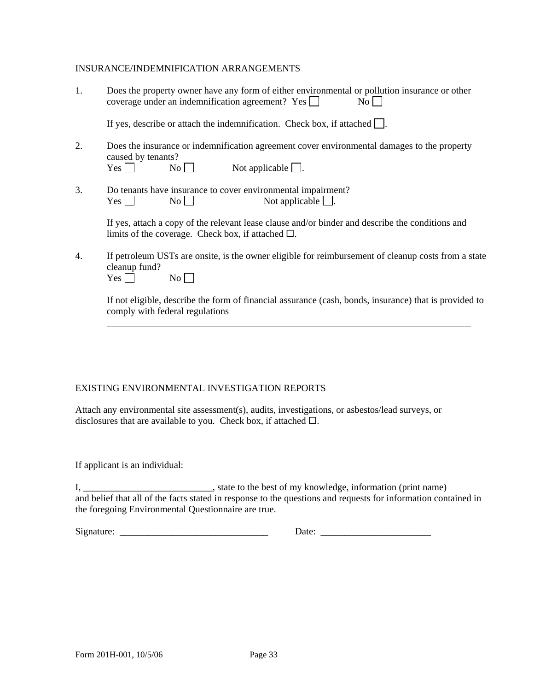#### INSURANCE/INDEMNIFICATION ARRANGEMENTS

| Does the property owner have any form of either environmental or pollution insurance or other |           |
|-----------------------------------------------------------------------------------------------|-----------|
| coverage under an indemnification agreement? Yes $\Box$                                       | $No \Box$ |

If yes, describe or attach the indemnification. Check box, if attached  $\Box$ .

- 2. Does the insurance or indemnification agreement cover environmental damages to the property caused by tenants?<br>Yes  $\Box$  $No \Box$  Not applicable  $\Box$ .
- 3. Do tenants have insurance to cover environmental impairment?  $Yes \Box$  No  $\Box$  Not applicable  $\Box$ .

If yes, attach a copy of the relevant lease clause and/or binder and describe the conditions and limits of the coverage. Check box, if attached  $\square$ .

4. If petroleum USTs are onsite, is the owner eligible for reimbursement of cleanup costs from a state cleanup fund?

 $Yes \Box$  No  $\Box$ 

If not eligible, describe the form of financial assurance (cash, bonds, insurance) that is provided to comply with federal regulations

#### EXISTING ENVIRONMENTAL INVESTIGATION REPORTS

Attach any environmental site assessment(s), audits, investigations, or asbestos/lead surveys, or disclosures that are available to you. Check box, if attached  $\square$ .

If applicant is an individual:

l l

I, \_\_\_\_\_\_\_\_\_\_\_\_\_\_\_\_\_\_\_\_\_\_\_\_\_\_\_\_, state to the best of my knowledge, information (print name) and belief that all of the facts stated in response to the questions and requests for information contained in the foregoing Environmental Questionnaire are true.

Signature: \_\_\_\_\_\_\_\_\_\_\_\_\_\_\_\_\_\_\_\_\_\_\_\_\_\_\_\_\_\_\_ Date: \_\_\_\_\_\_\_\_\_\_\_\_\_\_\_\_\_\_\_\_\_\_\_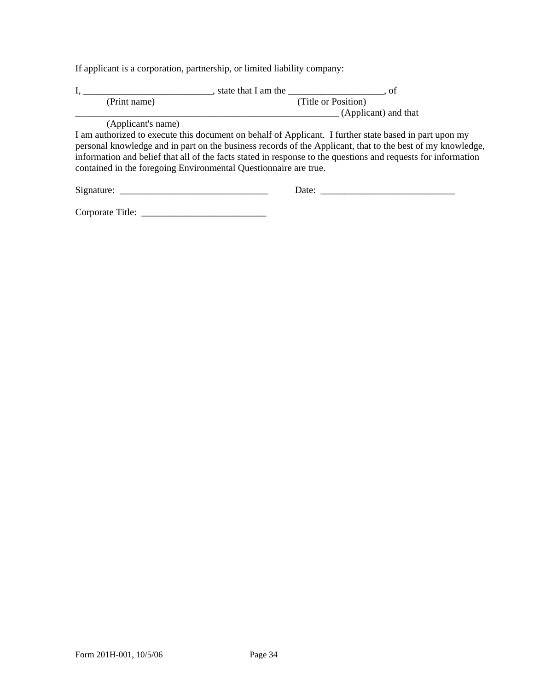If applicant is a corporation, partnership, or limited liability company:

|                                                                                                                                                                                                                                                                                                                                                                                                           | $\frac{1}{2}$ , state that I am the $\frac{1}{2}$ , of |  |  |  |  |  |  |  |
|-----------------------------------------------------------------------------------------------------------------------------------------------------------------------------------------------------------------------------------------------------------------------------------------------------------------------------------------------------------------------------------------------------------|--------------------------------------------------------|--|--|--|--|--|--|--|
| (Print name)                                                                                                                                                                                                                                                                                                                                                                                              | (Title or Position)                                    |  |  |  |  |  |  |  |
|                                                                                                                                                                                                                                                                                                                                                                                                           | (Applicant) and that                                   |  |  |  |  |  |  |  |
| (Applicant's name)                                                                                                                                                                                                                                                                                                                                                                                        |                                                        |  |  |  |  |  |  |  |
| I am authorized to execute this document on behalf of Applicant. I further state based in part upon my<br>personal knowledge and in part on the business records of the Applicant, that to the best of my knowledge,<br>information and belief that all of the facts stated in response to the questions and requests for information<br>contained in the foregoing Environmental Questionnaire are true. |                                                        |  |  |  |  |  |  |  |
|                                                                                                                                                                                                                                                                                                                                                                                                           | Date: $\qquad \qquad$                                  |  |  |  |  |  |  |  |
|                                                                                                                                                                                                                                                                                                                                                                                                           |                                                        |  |  |  |  |  |  |  |